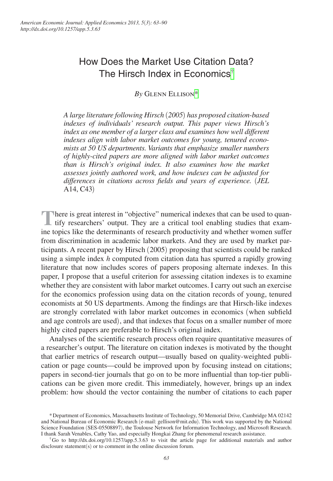# How Does the Market Use Citation Data? The Hirsch Index in Economics[†](#page-0-0)

*By* Glenn Ellison[\\*](#page-0-1)

*A large literature following Hirsch* (*2005*) *has proposed citation-based indexes of individuals' research output. This paper views Hirsch's index as one member of a larger class and examines how well different indexes align with labor market outcomes for young, tenured economists at 50 US departments. Variants that emphasize smaller numbers of highly-cited papers are more aligned with labor market outcomes than is Hirsch's original index. It also examines how the market assesses jointly authored work, and how indexes can be adjusted for differences in citations across fields and years of experience.* (*JEL*  A14, C43)

There is great interest in "objective" numerical indexes that can be used to quan-<br>tify researchers' output. They are a critical tool enabling studies that examine topics like the determinants of research productivity and whether women suffer from discrimination in academic labor markets. And they are used by market participants. A recent paper by Hirsch (2005) proposing that scientists could be ranked using a simple index *h* computed from citation data has spurred a rapidly growing literature that now includes scores of papers proposing alternate indexes. In this paper, I propose that a useful criterion for assessing citation indexes is to examine whether they are consistent with labor market outcomes. I carry out such an exercise for the economics profession using data on the citation records of young, tenured economists at 50 US departments. Among the findings are that Hirsch-like indexes are strongly correlated with labor market outcomes in economics (when subfield and age controls are used), and that indexes that focus on a smaller number of more highly cited papers are preferable to Hirsch's original index.

Analyses of the scientific research process often require quantitative measures of a researcher's output. The literature on citation indexes is motivated by the thought that earlier metrics of research output—usually based on quality-weighted publication or page counts—could be improved upon by focusing instead on citations; papers in second-tier journals that go on to be more influential than top-tier publications can be given more credit. This immediately, however, brings up an index problem: how should the vector containing the number of citations to each paper

<span id="page-0-1"></span><sup>\*</sup>Department of Economics, Massachusetts Institute of Technology, 50 Memorial Drive, Cambridge MA 02142 and National Bureau of Economic Research (e-mail: [gellison@mit.edu](mailto:gellison@mit.edu)). This work was supported by the National Science Foundation (SES-05508897), the Toulouse Network for Information Technology, and Microsoft Research.<br>I thank Sarah Venables, Cathy Yao, and especially Hongkai Zhang for phenomenal research assistance.

<span id="page-0-0"></span><sup>&</sup>lt;sup>†</sup>Go to <http://dx.doi.org/10.1257/app.5.3.63>to visit the article page for additional materials and author disclosure statement(s) or to comment in the online discussion forum.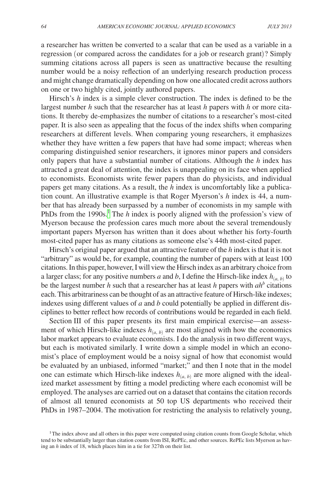a researcher has written be converted to a scalar that can be used as a variable in a regression (or compared across the candidates for a job or research grant)? Simply summing citations across all papers is seen as unattractive because the resulting number would be a noisy reflection of an underlying research production process and might change dramatically depending on how one allocated credit across authors on one or two highly cited, jointly authored papers.

Hirsch's *h* index is a simple clever construction. The index is defined to be the largest number *h* such that the researcher has at least *h* papers with *h* or more citations. It thereby de-emphasizes the number of citations to a researcher's most-cited paper. It is also seen as appealing that the focus of the index shifts when comparing researchers at different levels. When comparing young researchers, it emphasizes whether they have written a few papers that have had some impact; whereas when comparing distinguished senior researchers, it ignores minor papers and considers only papers that have a substantial number of citations. Although the *h* index has attracted a great deal of attention, the index is unappealing on its face when applied to economists. Economists write fewer papers than do physicists, and individual papers get many citations. As a result, the *h* index is uncomfortably like a publication count. An illustrative example is that Roger Myerson's *h* index is 44, a number that has already been surpassed by a number of economists in my sample with PhDs from the [1](#page-1-0)990s.<sup>1</sup> The *h* index is poorly aligned with the profession's view of Myerson because the profession cares much more about the several tremendously important papers Myerson has written than it does about whether his forty-fourth most-cited paper has as many citations as someone else's 44th most-cited paper.

Hirsch's original paper argued that an attractive feature of the *h* index is that it is not "arbitrary" as would be, for example, counting the number of papers with at least 100 citations. In this paper, however, I will view the Hirsch index as an arbitrary choice from a larger class; for any positive numbers *a* and *b*, I define the Hirsch-like index  $h_{(a, b)}$  to be the largest number  $h$  such that a researcher has at least  $h$  papers with  $ah^b$  citations each. This arbitrariness can be thought of as an attractive feature of Hirsch-like indexes; indexes using different values of *a* and *b* could potentially be applied in different disciplines to better reflect how records of contributions would be regarded in each field.

Section III of this paper presents its first main empirical exercise—an assessment of which Hirsch-like indexes  $h_{(a, b)}$  are most aligned with how the economics labor market appears to evaluate economists. I do the analysis in two different ways, but each is motivated similarly. I write down a simple model in which an economist's place of employment would be a noisy signal of how that economist would be evaluated by an unbiased, informed "market;" and then I note that in the model one can estimate which Hirsch-like indexes  $h_{(a, b)}$  are more aligned with the idealized market assessment by fitting a model predicting where each economist will be employed. The analyses are carried out on a dataset that contains the citation records of almost all tenured economists at 50 top US departments who received their PhDs in 1987–2004. The motivation for restricting the analysis to relatively young,

<span id="page-1-0"></span><sup>&</sup>lt;sup>1</sup>The index above and all others in this paper were computed using citation counts from Google Scholar, which tend to be substantially larger than citation counts from ISI, RePEc, and other sources. RePEc lists Myerson as having an *h* index of 18, which places him in a tie for 327th on their list.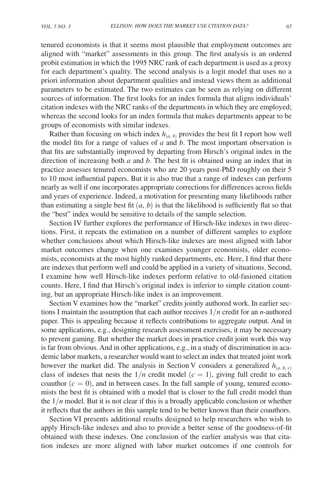tenured economists is that it seems most plausible that employment outcomes are aligned with "market" assessments in this group. The first analysis is an ordered probit estimation in which the 1995 NRC rank of each department is used as a proxy for each department's quality. The second analysis is a logit model that uses no a priori information about department qualities and instead views them as additional parameters to be estimated. The two estimates can be seen as relying on different sources of information. The first looks for an index formula that aligns individuals' citation indexes with the NRC ranks of the departments in which they are employed; whereas the second looks for an index formula that makes departments appear to be groups of economists with similar indexes.

Rather than focusing on which index  $h_{(a, b)}$  provides the best fit I report how well the model fits for a range of values of *a* and *b*. The most important observation is that fits are substantially improved by departing from Hirsch's original index in the direction of increasing both *a* and *b*. The best fit is obtained using an index that in practice assesses tenured economists who are 20 years post-PhD roughly on their 5 to 10 most influential papers. But it is also true that a range of indexes can perform nearly as well if one incorporates appropriate corrections for differences across fields and years of experience. Indeed, a motivation for presenting many likelihoods rather than estimating a single best fit  $(a, b)$  is that the likelihood is sufficiently flat so that the "best" index would be sensitive to details of the sample selection.

Section IV further explores the performance of Hirsch-like indexes in two directions. First, it repeats the estimation on a number of different samples to explore whether conclusions about which Hirsch-like indexes are most aligned with labor market outcomes change when one examines younger economists, older economists, economists at the most highly ranked departments, etc. Here, I find that there are indexes that perform well and could be applied in a variety of situations. Second, I examine how well Hirsch-like indexes perform relative to old-fasioned citation counts. Here, I find that Hirsch's original index is inferior to simple citation counting, but an appropriate Hirsch-like index is an improvement.

Section V examines how the "market" credits jointly authored work. In earlier sections I maintain the assumption that each author receives 1/*n* credit for an *n*-authored paper. This is appealing because it reflects contributions to aggregate output. And in some applications, e.g., designing research assessment exercises, it may be necessary to prevent gaming. But whether the market does in practice credit joint work this way is far from obvious. And in other applications, e.g., in a study of discrimination in academic labor markets, a researcher would want to select an index that treated joint work however the market did. The analysis in Section V considers a generalized  $h_{(a, b, c)}$ class of indexes that nests the  $1/n$  credit model  $(c = 1)$ , giving full credit to each coauthor  $(c = 0)$ , and in between cases. In the full sample of young, tenured economists the best fit is obtained with a model that is closer to the full credit model than the  $1/n$  model. But it is not clear if this is a broadly applicable conclusion or whether it reflects that the authors in this sample tend to be better known than their coauthors.

Section VI presents additional results designed to help researchers who wish to apply Hirsch-like indexes and also to provide a better sense of the goodness-of-fit obtained with these indexes. One conclusion of the earlier analysis was that citation indexes are more aligned with labor market outcomes if one controls for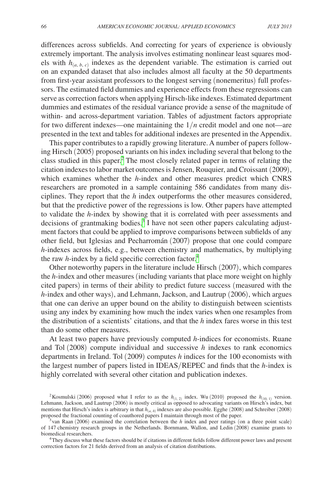differences across subfields. And correcting for years of experience is obviously extremely important. The analysis involves estimating nonlinear least squares models with  $h_{(a, b, c)}$  indexes as the dependent variable. The estimation is carried out on an expanded dataset that also includes almost all faculty at the 50 departments from first-year assistant professors to the longest serving (nonemeritus) full professors. The estimated field dummies and experience effects from these regressions can serve as correction factors when applying Hirsch-like indexes. Estimated department dummies and estimates of the residual variance provide a sense of the magnitude of within- and across-department variation. Tables of adjustment factors appropriate for two different indexes—one maintaining the 1/*n* credit model and one not—are presented in the text and tables for additional indexes are presented in the Appendix.

This paper contributes to a rapidly growing literature. A number of papers following Hirsch (2005) proposed variants on his index including several that belong to the class studied in this paper.<sup>2</sup> The most closely related paper in terms of relating the citation indexes to labor market outcomes is Jensen, Rouquier, and Croissant (2009), which examines whether the *h*-index and other measures predict which CNRS researchers are promoted in a sample containing 586 candidates from many disciplines. They report that the *h* index outperforms the other measures considered, but that the predictive power of the regressions is low. Other papers have attempted to validate the *h*-index by showing that it is correlated with peer assessments and decisions of grantmaking bodies.<sup>[3](#page-3-1)</sup> I have not seen other papers calculating adjustment factors that could be applied to improve comparisons between subfields of any other field, but Iglesias and Pecharromán (2007) propose that one could compare *h*-indexes across fields, e.g., between chemistry and mathematics, by multiplying the raw *h*-index by a field specific correction factor.<sup>[4](#page-3-2)</sup>

Other noteworthy papers in the literature include Hirsch (2007), which compares the *h*-index and other measures (including variants that place more weight on highly cited papers) in terms of their ability to predict future success (measured with the *h*-index and other ways), and Lehmann, Jackson, and Lautrup (2006), which argues that one can derive an upper bound on the ability to distinguish between scientists using any index by examining how much the index varies when one resamples from the distribution of a scientists' citations, and that the *h* index fares worse in this test than do some other measures.

At least two papers have previously computed *h*-indices for economists. Ruane and Tol (2008) compute individual and successive *h* indexes to rank economics departments in Ireland. Tol (2009) computes *h* indices for the 100 economists with the largest number of papers listed in IDEAS/REPEC and finds that the *h*-index is highly correlated with several other citation and publication indexes.

<span id="page-3-0"></span><sup>&</sup>lt;sup>2</sup>Kosmulski (2006) proposed what I refer to as the  $h_{(1, 2)}$  index. Wu (2010) proposed the  $h_{(1, 0, 1)}$  version. Lehmann, Jackson, and Lautrup (2006) is mostly critical as opposed to advocating variants on Hirsch's index, but mentions that Hirsch's index is arbitrary in that  $h_{(a, b)}$  indexes are also possible. Egghe (2008) and Schreiber (2008) proposed the fractional counting of coauthored papers I maintain through most of the paper.

<span id="page-3-1"></span>van Raan (2006) examined the correlation between the *h* index and peer ratings (on a three point scale) of 147 chemistry research groups in the Netherlands. Bornmann, Wallon, and Ledin (2008) examine grants to

<span id="page-3-2"></span><sup>&</sup>lt;sup>4</sup>They discuss what these factors should be if citations in different fields follow different power laws and present correction factors for 21 fields derived from an analysis of citation distributions.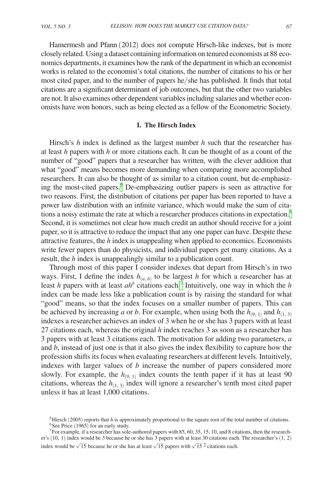Hamermesh and Pfann (2012) does not compute Hirsch-like indexes, but is more closely related. Using a dataset containing information on tenured economists at 88 economics departments, it examines how the rank of the department in which an economist works is related to the economist's total citations, the number of citations to his or her most cited paper, and to the number of papers he/she has published. It finds that total citations are a significant determinant of job outcomes, but that the other two variables are not. It also examines other dependent variables including salaries and whether economists have won honors, such as being elected as a fellow of the Econometric Society.

## **I. The Hirsch Index**

Hirsch's *h* index is defined as the largest number *h* such that the researcher has at least *h* papers with *h* or more citations each. It can be thought of as a count of the number of "good" papers that a researcher has written, with the clever addition that what "good" means becomes more demanding when comparing more accomplished researchers. It can also be thought of as similar to a citation count, but de-emphasizing the most-cited papers.<sup>5</sup> De-emphasizing outlier papers is seen as attractive for two reasons. First, the distribution of citations per paper has been reported to have a power law distribution with an infinite variance, which would make the sum of citations a noisy estimate the rate at which a researcher produces citations in expectation[.6](#page-4-1) Second, it is sometimes not clear how much credit an author should receive for a joint paper, so it is attractive to reduce the impact that any one paper can have. Despite these attractive features, the *h* index is unappealing when applied to economics. Economists write fewer papers than do physicists, and individual papers get many citations. As a result, the *h* index is unappealingly similar to a publication count.

Through most of this paper I consider indexes that depart from Hirsch's in two ways. First, I define the index  $h_{(a, b)}$  to be largest *h* for which a researcher has at least *h* papers with at least *ah*<sup>*b*</sup> citations each.<sup>[7](#page-4-2)</sup> Intuitively, one way in which the *h* index can be made less like a publication count is by raising the standard for what "good" means, so that the index focuses on a smaller number of papers. This can be achieved by increasing *a* or *b*. For example, when using both the  $h_{(9, 1)}$  and  $h_{(1, 3)}$ indexes a researcher achieves an index of 3 when he or she has 3 papers with at least 27 citations each, whereas the original *h* index reaches 3 as soon as a researcher has 3 papers with at least 3 citations each. The motivation for adding two parameters, *a* and *b*, instead of just one is that it also gives the index flexibility to capture how the profession shifts its focus when evaluating researchers at different levels. Intuitively, indexes with larger values of *b* increase the number of papers considered more slowly. For example, the  $h_{(9, 1)}$  index counts the tenth paper if it has at least 90 citations, whereas the  $h_{(1, 3)}$  index will ignore a researcher's tenth most cited paper unless it has at least 1,000 citations.

<span id="page-4-2"></span><span id="page-4-1"></span><span id="page-4-0"></span><sup>&</sup>lt;sup>5</sup>Hirsch (2005) reports that *h* is approximately proportional to the square root of the total number of citations.<br><sup>6</sup>See Price (1965) for an early study.<br><sup>7</sup>For example, if a researcher has sole-authored papers with 85

er's (10, 1) index would be 3 because he or she has 3 papers with at least 30 citations each. The researcher's (1, 2) index would be  $\sqrt{15}$  pecause he or she has at least  $\sqrt{15}$  papers with  $\sqrt{15}$  citations each. index would be  $\sqrt{15}$  because he or she has at least  $\sqrt{15}$  papers with  $\sqrt{15}$  2 citations each.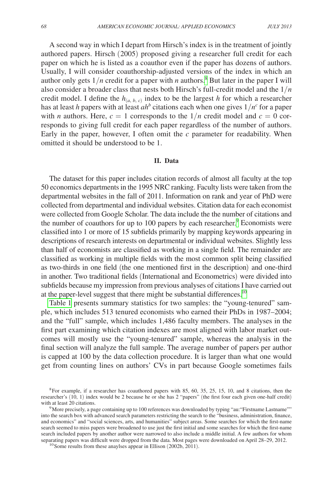A second way in which I depart from Hirsch's index is in the treatment of jointly authored papers. Hirsch (2005) proposed giving a researcher full credit for each paper on which he is listed as a coauthor even if the paper has dozens of authors. Usually, I will consider coauthorship-adjusted versions of the index in which an author only gets  $1/n$  credit for a paper with *n* authors.<sup>[8](#page-5-0)</sup> But later in the paper I will also consider a broader class that nests both Hirsch's full-credit model and the 1/*n* credit model. I define the  $h_{(a, b, c)}$  index to be the largest *h* for which a researcher has at least *h* papers with at least *ah<sup>b</sup>* citations each when one gives 1/*n<sup>c</sup>* for a paper with *n* authors. Here,  $c = 1$  corresponds to the  $1/n$  credit model and  $c = 0$  corresponds to giving full credit for each paper regardless of the number of authors. Early in the paper, however, I often omit the *c* parameter for readability. When omitted it should be understood to be 1.

#### **II. Data**

The dataset for this paper includes citation records of almost all faculty at the top 50 economics departments in the 1995 NRC ranking. Faculty lists were taken from the departmental websites in the fall of 2011. Information on rank and year of PhD were collected from departmental and individual websites. Citation data for each economist were collected from Google Scholar. The data include the the number of citations and the number of coauthors for up to  $100$  papers by each researcher.<sup>[9](#page-5-1)</sup> Economists were classified into 1 or more of 15 subfields primarily by mapping keywords appearing in descriptions of research interests on departmental or individual websites. Slightly less than half of economists are classified as working in a single field. The remainder are classified as working in multiple fields with the most common split being classified as two-thirds in one field (the one mentioned first in the description) and one-third in another. Two traditional fields (International and Econometrics) were divided into subfields because my impression from previous analyses of citations I have carried out at the paper-level suggest that there might be substantial differences.<sup>10</sup>

[Table](#page-6-0) 1 presents summary statistics for two samples: the "young-tenured" sample, which includes 513 tenured economists who earned their PhDs in 1987–2004; and the "full" sample, which includes 1,486 faculty members. The analyses in the first part examining which citation indexes are most aligned with labor market outcomes will mostly use the "young-tenured" sample, whereas the analysis in the final section will analyze the full sample. The average number of papers per author is capped at 100 by the data collection procedure. It is larger than what one would get from counting lines on authors' CVs in part because Google sometimes fails

<span id="page-5-0"></span> $8$ For example, if a researcher has coauthored papers with 85, 60, 35, 25, 15, 10, and 8 citations, then the researcher's (10, 1) index would be 2 because he or she has 2 "papers" (the first four each given one-half credit)

<span id="page-5-1"></span> $9$  More precisely, a page containing up to 100 references was downloaded by typing "au:"Firstname Lastname"" into the search box with advanced search parameters restricting the search to the "business, administration, finance, and economics" and "social sciences, arts, and humanities" subject areas. Some searches for which the first-name search seemed to miss papers were broadened to use just the first initial and some searches for which the first-name search included papers by another author were narrowed to also include a middle initial. A few authors for whom separating papers was difficult were dropped from the data. Most pages were downloaded on April 28–29, 2012.<br><sup>10</sup>Some results from these anaylses appear in Ellison (2002b, 2011).

<span id="page-5-2"></span>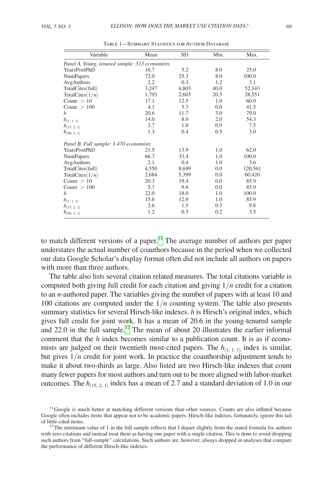<span id="page-6-0"></span>

| Variable                               | Mean                                           | <b>SD</b> | Min. | Max.    |  |  |  |  |  |  |
|----------------------------------------|------------------------------------------------|-----------|------|---------|--|--|--|--|--|--|
|                                        | Panel A. Young, tenured sample: 513 economists |           |      |         |  |  |  |  |  |  |
| YearsPostPhD                           | 16.7                                           | 5.2       | 8.0  | 25.0    |  |  |  |  |  |  |
| <b>NumPapers</b>                       | 72.0                                           | 25.3      | 8.0  | 100.0   |  |  |  |  |  |  |
| AvgAuthors                             | 2.2                                            | 0.3       | 1.2  | 3.1     |  |  |  |  |  |  |
| TotalCites(full)                       | 3,247                                          | 4,803     | 40.0 | 52,343  |  |  |  |  |  |  |
| TotalCites $(1/n)$                     | 1,793                                          | 2,603     | 20.5 | 28,551  |  |  |  |  |  |  |
| Count $> 10$                           | 17.1                                           | 12.5      | 1.0  | 60.0    |  |  |  |  |  |  |
| Count $>100$                           | 4.1                                            | 5.3       | 0.0  | 41.5    |  |  |  |  |  |  |
| $\boldsymbol{h}$                       | 20.6                                           | 11.7      | 3.0  | 79.0    |  |  |  |  |  |  |
| $h_{(1, 1, 1)}$                        | 14.0                                           | 8.0       | 2.0  | 54.3    |  |  |  |  |  |  |
| $h_{(15, 2, 1)}$                       | 2.7                                            | 1.0       | 0.9  | 7.5     |  |  |  |  |  |  |
| $h_{(90, 3, 1)}$                       | 1.3                                            | 0.4       | 0.5  | 3.0     |  |  |  |  |  |  |
| Panel B. Full sample: 1,470 economists |                                                |           |      |         |  |  |  |  |  |  |
| YearsPostPhD                           | 21.5                                           | 13.9      | 1.0  | 62.0    |  |  |  |  |  |  |
| <b>NumPapers</b>                       | 66.7                                           | 33.4      | 1.0  | 100.0   |  |  |  |  |  |  |
| AvgAuthors                             | 2.1                                            | 0.4       | 1.0  | 3.6     |  |  |  |  |  |  |
| TotalCites(full)                       | 4,550                                          | 8,699     | 0.0  | 120,561 |  |  |  |  |  |  |
| TotalCites $(1/n)$                     | 2,684                                          | 5,399     | 0.0  | 60,420  |  |  |  |  |  |  |
| Count $> 10$                           | 20.3                                           | 19.4      | 0.0  | 85.9    |  |  |  |  |  |  |
| Count $> 100$                          | 5.7                                            | 9.6       | 0.0  | 85.9    |  |  |  |  |  |  |
| $\boldsymbol{h}$                       | 22.0                                           | 18.0      | 1.0  | 100.0   |  |  |  |  |  |  |
| $h_{(1, 1, 1)}$                        | 15.6                                           | 12.9      | 1.0  | 85.9    |  |  |  |  |  |  |
| $h_{(15, 2, 1)}$                       | 2.6                                            | 1.5       | 0.3  | 9.8     |  |  |  |  |  |  |
| $h_{(90, 3, 1)}$                       | 1.2                                            | 0.5       | 0.2  | 3.5     |  |  |  |  |  |  |

Table 1—Summary Statistics for Author Database

to match different versions of a paper.<sup>11</sup> The average number of authors per paper understates the actual number of coauthors because in the period when we collected our data Google Scholar's display format often did not include all authors on papers with more than three authors.

The table also lists several citation related measures. The total citations variable is computed both giving full credit for each citation and giving 1/*n* credit for a citation to an *n*-authored paper. The variables giving the number of papers with at least 10 and 100 citations are computed under the 1/*n* counting system. The table also presents summary statistics for several Hirsch-like indexes. *h* is Hirsch's original index, which gives full credit for joint work. It has a mean of 20.6 in the young-tenured sample and  $22.0$  in the full sample.<sup>12</sup> The mean of about 20 illustrates the earlier informal comment that the *h* index becomes similar to a publication count. It is as if economists are judged on their twentieth most-cited papers. The  $h_{(1, 1, 1)}$  index is similar, but gives  $1/n$  credit for joint work. In practice the coauthorship adjustment tends to make it about two-thirds as large. Also listed are two Hirsch-like indexes that count many fewer papers for most authors and turn out to be more aligned with labor-market outcomes. The  $h_{(15, 2, 1)}$  index has a mean of 2.7 and a standard deviation of 1.0 in our

<span id="page-6-1"></span> $11$  Google is much better at matching different versions than other sources. Counts are also inflated because Google often includes items that appear not to be academic papers. Hirsch-like indexes, fortunately, ignore this tail of little-cited items.

<span id="page-6-2"></span> $12$ The minimum value of 1 in the full sample reflects that I depart slightly from the stated formula for authors with zero citations and instead treat them as having one paper with a single citation. This is done to avoid dropping such authors from "full-sample" calculations. Such authors are, however, always dropped in analyses that compare the performance of different Hirsch-like indexes.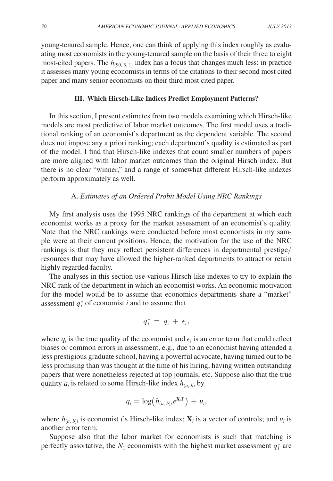young-tenured sample. Hence, one can think of applying this index roughly as evaluating most economists in the young-tenured sample on the basis of their three to eight most-cited papers. The  $h_{(90, 3, 1)}$  index has a focus that changes much less: in practice it assesses many young economists in terms of the citations to their second most cited paper and many senior economists on their third most cited paper.

# **III. Which Hirsch-Like Indices Predict Employment Patterns?**

In this section, I present estimates from two models examining which Hirsch-like models are most predictive of labor market outcomes. The first model uses a traditional ranking of an economist's department as the dependent variable. The second does not impose any a priori ranking; each department's quality is estimated as part of the model. I find that Hirsch-like indexes that count smaller numbers of papers are more aligned with labor market outcomes than the original Hirsch index. But there is no clear "winner," and a range of somewhat different Hirsch-like indexes perform approximately as well.

## A. *Estimates of an Ordered Probit Model Using NRC Rankings*

My first analysis uses the 1995 NRC rankings of the department at which each economist works as a proxy for the market assessment of an economist's quality. Note that the NRC rankings were conducted before most economists in my sample were at their current positions. Hence, the motivation for the use of the NRC rankings is that they may reflect persistent differences in departmental prestige/ resources that may have allowed the higher-ranked departments to attract or retain highly regarded faculty.

The analyses in this section use various Hirsch-like indexes to try to explain the NRC rank of the department in which an economist works. An economic motivation for the model would be to assume that economics departments share a "market" assessment  $q_i^*$  of economist *i* and to assume that

$$
q_i^* = q_i + \epsilon_i,
$$

where  $q_i$  is the true quality of the economist and  $\epsilon_i$  is an error term that could reflect biases or common errors in assessment, e.g., due to an economist having attended a less prestigious graduate school, having a powerful advocate, having turned out to be less promising than was thought at the time of his hiring, having written outstanding papers that were nonetheless rejected at top journals, etc. Suppose also that the true quality  $q_i$  is related to some Hirsch-like index  $h_{(a, b)}$  by

$$
q_i = \log \bigl( h_{(a,~b)i} e^{\mathbf{X}_i \Gamma} \bigr) + u_i,
$$

where  $h_{(a, b)i}$  is economist *i*'s Hirsch-like index;  $\mathbf{X}_i$  is a vector of controls; and  $u_i$  is another error term.

Suppose also that the labor market for economists is such that matching is perfectly assortative; the  $N_1$  economists with the highest market assessment  $q_i^*$  are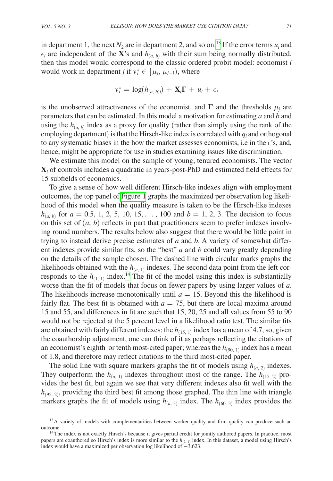in department 1, the next  $N_2$  are in department 2, and so on.<sup>13</sup> If the error terms  $u_i$  and  $\epsilon_i$  are independent of the **X**'s and  $h_{(a, b)}$  with their sum being normally distributed, then this model would correspond to the classic ordered probit model: economist *i* would work in department *j* if  $y_i^* \in [\mu_j, \mu_{j-1})$ , where

$$
\mathrm{y}^*_i = \log(h_{(a,\;b)i})\,+\,\mathbf{X}_i\boldsymbol{\Gamma}\,+\,\mathbf{u}_i\,+\,\epsilon_i
$$

is the unobserved attractiveness of the economist, and  $\Gamma$  and the thresholds  $\mu_j$  are parameters that can be estimated. In this model a motivation for estimating *a* and *b* and using the  $h_{(a, b)}$  index as a proxy for quality (rather than simply using the rank of the employing department) is that the Hirsch-like index is correlated with  $q_i$  and orthogonal to any systematic biases in the how the market assesses economists, i.e in the  $\epsilon$ 's, and, hence, might be appropriate for use in studies examining issues like discrimination.

We estimate this model on the sample of young, tenured economists. The vector **X***i* of controls includes a quadratic in years-post-PhD and estimated field effects for 15 subfields of economics.

To give a sense of how well different Hirsch-like indexes align with employment outcomes, the top panel of [Figure](#page-9-0) 1 graphs the maximized per observation log likelihood of this model when the quality measure is taken to be the Hirsch-like indexes  $h_{(a, b)}$  for  $a = 0.5, 1, 2, 5, 10, 15, \ldots$ , 100 and  $b = 1, 2, 3$ . The decision to focus on this set of  $(a, b)$  reflects in part that practitioners seem to prefer indexes involving round numbers. The results below also suggest that there would be little point in trying to instead derive precise estimates of *a* and *b*. A variety of somewhat different indexes provide similar fits, so the "best" *a* and *b* could vary greatly depending on the details of the sample chosen. The dashed line with circular marks graphs the likelihoods obtained with the  $h_{(a, 1)}$  indexes. The second data point from the left corresponds to the  $h_{(1, 1)}$  index.<sup>[14](#page-8-1)</sup> The fit of the model using this index is substantially worse than the fit of models that focus on fewer papers by using larger values of *a*. The likelihoods increase monotonically until  $a = 15$ . Beyond this the likelihood is fairly flat. The best fit is obtained with  $a = 75$ , but there are local maxima around 15 and 55, and differences in fit are such that 15, 20, 25 and all values from 55 to 90 would not be rejected at the 5 percent level in a likelihood ratio test. The similar fits are obtained with fairly different indexes: the  $h_{(15, 1)}$  index has a mean of 4.7, so, given the coauthorship adjustment, one can think of it as perhaps reflecting the citations of an economist's eighth or tenth most-cited paper; whereas the  $h_{(90, 1)}$  index has a mean of 1.8, and therefore may reflect citations to the third most-cited paper.

The solid line with square markers graphs the fit of models using  $h_{(a, 2)}$  indexes. They outperform the  $h_{(a, 1)}$  indexes throughout most of the range. The  $h_{(15, 2)}$  provides the best fit, but again we see that very different indexes also fit well with the  $h_{(95, 2)}$ , providing the third best fit among those graphed. The thin line with triangle markers graphs the fit of models using  $h_{(a, 3)}$  index. The  $h_{(60, 3)}$  index provides the

<span id="page-8-0"></span><sup>&</sup>lt;sup>13</sup>A variety of models with complementarities between worker quality and firm quality can produce such an outcome. 14The index is not exactly Hirsch's because it gives partial credit for jointly authored papers. In practice, most

<span id="page-8-1"></span>papers are coauthored so Hirsch's index is more similar to the  $h_{(2, 1)}$  index. In this dataset, a model using Hirsch's index would have a maximized per observation log likelihood of −3.623.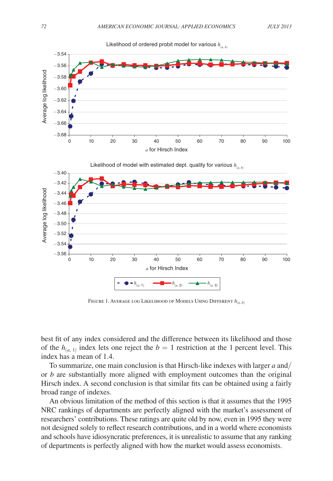

<span id="page-9-0"></span>

Likelihood of ordered probit model for various *h*(*a, b*)

Figure 1. Average log Likelihood of Models Using Different *h*(*a*, *<sup>b</sup>*)

best fit of any index considered and the difference between its likelihood and those of the  $h_{(a, 1)}$  index lets one reject the  $b = 1$  restriction at the 1 percent level. This index has a mean of 1.4.

To summarize, one main conclusion is that Hirsch-like indexes with larger *a* and/ or *b* are substantially more aligned with employment outcomes than the original Hirsch index. A second conclusion is that similar fits can be obtained using a fairly broad range of indexes.

An obvious limitation of the method of this section is that it assumes that the 1995 NRC rankings of departments are perfectly aligned with the market's assessment of researchers' contributions. These ratings are quite old by now, even in 1995 they were not designed solely to reflect research contributions, and in a world where economists and schools have idiosyncratic preferences, it is unrealistic to assume that any ranking of departments is perfectly aligned with how the market would assess economists.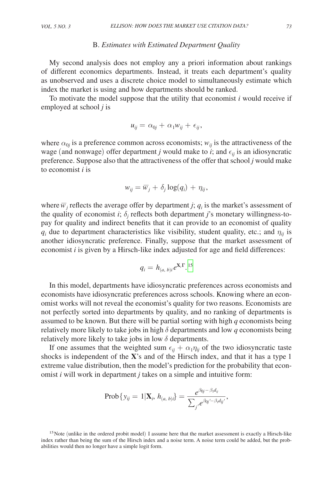## B. *Estimates with Estimated Department Quality*

My second analysis does not employ any a priori information about rankings of different economics departments. Instead, it treats each department's quality as unobserved and uses a discrete choice model to simultaneously estimate which index the market is using and how departments should be ranked.

To motivate the model suppose that the utility that economist *i* would receive if employed at school *j* is

$$
u_{ij} = \alpha_{0j} + \alpha_1 w_{ij} + \epsilon_{ij},
$$

where  $\alpha_{0j}$  is a preference common across economists;  $w_{ij}$  is the attractiveness of the wage (and nonwage) offer department *j* would make to *i*; and  $\epsilon_{ii}$  is an idiosyncratic preference. Suppose also that the attractiveness of the offer that school *j* would make to economist *i* is

$$
w_{ij} = \overline{w}_j + \delta_j \log(q_i) + \eta_{ij},
$$

where  $\overline{w}_j$  reflects the average offer by department *j*;  $q_i$  is the market's assessment of the quality of economist *i*;  $\delta_j$  reflects both department *j*'s monetary willingness-topay for quality and indirect benefits that it can provide to an economist of quality  $q_i$  due to department characteristics like visibility, student quality, etc.; and  $\eta_{ij}$  is another idiosyncratic preference. Finally, suppose that the market assessment of economist *i* is given by a Hirsch-like index adjusted for age and field differences:

$$
q_i = h_{(a,\;b)i} e^{\mathbf{X}_i\boldsymbol{\Gamma}_.15}
$$

In this model, departments have idiosyncratic preferences across economists and economists have idiosyncratic preferences across schools. Knowing where an economist works will not reveal the economist's quality for two reasons. Economists are not perfectly sorted into departments by quality, and no ranking of departments is assumed to be known. But there will be partial sorting with high *q* economists being relatively more likely to take jobs in high  $\delta$  departments and low  $q$  economists being relatively more likely to take jobs in low  $\delta$  departments.

If one assumes that the weighted sum  $\epsilon_{ii} + \alpha_1 \eta_{ii}$  of the two idiosyncratic taste shocks is independent of the **X**'s and of the Hirsch index, and that it has a type 1 extreme value distribution, then the model's prediction for the probability that economist *i* will work in department *j* takes on a simple and intuitive form:<br>
Prob  $\{y_{ij} = 1 | \mathbf{X}_i, h_{(a, b)i}\} = \frac{e^{\beta_{0j} - \beta_1 d_{ij}}}{\sum_{j$ omist *i* will work in department *j* takes on a simple and intuitive form:

$$
\mathrm{Prob}\{y_{ij}=1|\mathbf{X}_i,\,h_{(a,\,b)i}\}=\frac{e^{\beta_{0j}-\beta_1d_{ij}}}{\sum_{j'}e^{\beta_{0j'}-\beta_1d_{ij'}}},
$$

<span id="page-10-0"></span><sup>&</sup>lt;sup>15</sup>Note (unlike in the ordered probit model) I assume here that the market assessment is exactly a Hirsch-like index rather than being the sum of the Hirsch index and a noise term. A noise term could be added, but the probabilities would then no longer have a simple logit form.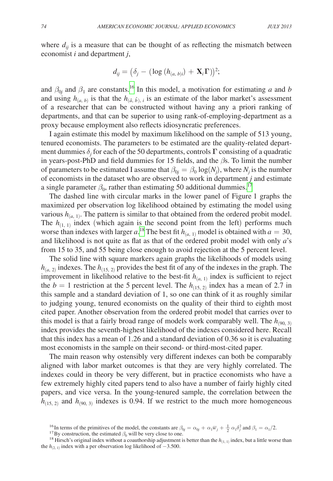where  $d_{ij}$  is a measure that can be thought of as reflecting the mismatch between economist *i* and department *j*,

$$
d_{ij} = \big(\delta_j - (\log\,(h_{(a,\,b)i})\,+\,{\bf X}_i\boldsymbol{\Gamma})\big)^2;
$$

and  $\beta_{0j}$  and  $\beta_1$  are constants.<sup>[16](#page-11-0)</sup> In this model, a motivation for estimating *a* and *b* and using  $h_{(a, b)}$  is that the  $h_{(\hat{a}, \hat{b}), i}$  is an estimate of the labor market's assessment of a researcher that can be constructed without having any a priori ranking of departments, and that can be superior to using rank-of-employing-department as a proxy because employment also reflects idiosyncratic preferences.

I again estimate this model by maximum likelihood on the sample of 513 young, tenured economists. The parameters to be estimated are the quality-related department dummies δ*<sup>j</sup>* for each of the 50 departments, controls **Γ** consisting of a quadratic in years-post-PhD and field dummies for 15 fields, and the  $\beta$ s. To limit the number of parameters to be estimated I assume that  $\beta_{0j} = \beta_0 \log(N_j)$ , where  $N_j$  is the number of economists in the dataset who are observed to work in department *j* and estimate a single parameter  $\beta_0$ , rather than estimating 50 additional dummies.<sup>[17](#page-11-1)</sup>

The dashed line with circular marks in the lower panel of Figure 1 graphs the maximized per observation log likelihood obtained by estimating the model using various  $h_{(a, 1)}$ . The pattern is similar to that obtained from the ordered probit model. The  $h_{(1, 1)}$  index (which again is the second point from the left) performs much worse than indexes with larger  $a$ .<sup>18</sup> The best fit  $h_{(a, 1)}$  model is obtained with  $a = 30$ , and likelihood is not quite as flat as that of the ordered probit model with only *a*'s from 15 to 35, and 55 being close enough to avoid rejection at the 5 percent level.

The solid line with square markers again graphs the likelihoods of models using  $h_{(a, 2)}$  indexes. The  $h_{(15, 2)}$  provides the best fit of any of the indexes in the graph. The improvement in likelihood relative to the best-fit  $h_{(a, 1)}$  index is sufficient to reject the  $b = 1$  restriction at the 5 percent level. The  $h_{(15, 2)}$  index has a mean of 2.7 in this sample and a standard deviation of 1, so one can think of it as roughly similar to judging young, tenured economists on the quality of their third to eighth most cited paper. Another observation from the ordered probit model that carries over to this model is that a fairly broad range of models work comparably well. The  $h_{(90, 3)}$ index provides the seventh-highest likelihood of the indexes considered here. Recall that this index has a mean of 1.26 and a standard deviation of 0.36 so it is evaluating most economists in the sample on their second- or third-most-cited paper.

The main reason why ostensibly very different indexes can both be comparably aligned with labor market outcomes is that they are very highly correlated. The indexes could in theory be very different, but in practice economists who have a few extremely highly cited papers tend to also have a number of fairly highly cited papers, and vice versa. In the young-tenured sample, the correlation between the  $h$ <sub>(15, 2)</sub> and  $h$ <sub>(90, 3)</sub> indexes is 0.94. If we restrict to the much more homogeneous

<span id="page-11-0"></span><sup>&</sup>lt;sup>16</sup>In terms of the primitives of the model, the constants are  $\beta_{0j} = \alpha_{0j} + \alpha_1 \overline{w}_j + \frac{1}{2} \alpha_1 \delta_j^2$ 

<span id="page-11-2"></span><span id="page-11-1"></span>

<sup>&</sup>lt;sup>17</sup>By construction, the estimated  $\beta_0$  will be very close to one.<br><sup>18</sup> Hirsch's original index without a coauthorship adjustment is better than the *h*<sub>(1, 1)</sub> index, but a little worse than the  $h_{(2, 1)}$  index with a per observation log likelihood of  $-3.500$ .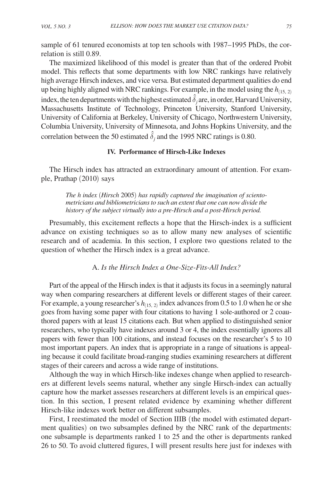sample of 61 tenured economists at top ten schools with 1987–1995 PhDs, the correlation is still 0.89.

The maximized likelihood of this model is greater than that of the ordered Probit model. This reflects that some departments with low NRC rankings have relatively high average Hirsch indexes, and vice versa. But estimated department qualities do end up being highly aligned with NRC rankings. For example, in the model using the  $h_{(15, 2)}$ index, the ten departments with the highest estimated  $\hat{\delta}_j$  are, in order, Harvard University, Massachusetts Institute of Technology, Princeton University, Stanford University, University of California at Berkeley, University of Chicago, Northwestern University, Columbia University, University of Minnesota, and Johns Hopkins University, and the correlation between the 50 estimated  $\hat{\delta}_j$  and the 1995 NRC ratings is 0.80.

# **IV. Performance of Hirsch-Like Indexes**

The Hirsch index has attracted an extraordinary amount of attention. For example, Prathap (2010) says

*The h index* (*Hirsch* 2005) *has rapidly captured the imagination of scientometricians and bibliometricians to such an extent that one can now divide the history of the subject virtually into a pre-Hirsch and a post-Hirsch period.*

Presumably, this excitement reflects a hope that the Hirsch-index is a sufficient advance on existing techniques so as to allow many new analyses of scientific research and of academia. In this section, I explore two questions related to the question of whether the Hirsch index is a great advance.

A. *Is the Hirsch Index a One-Size-Fits-All Index?*

Part of the appeal of the Hirsch index is that it adjusts its focus in a seemingly natural way when comparing researchers at different levels or different stages of their career. For example, a young researcher's  $h_{(15, 2)}$  index advances from 0.5 to 1.0 when he or she goes from having some paper with four citations to having 1 sole-authored or 2 coauthored papers with at least 15 citations each. But when applied to distinguished senior researchers, who typically have indexes around 3 or 4, the index essentially ignores all papers with fewer than 100 citations, and instead focuses on the researcher's 5 to 10 most important papers. An index that is appropriate in a range of situations is appealing because it could facilitate broad-ranging studies examining researchers at different stages of their careers and across a wide range of institutions.

Although the way in which Hirsch-like indexes change when applied to researchers at different levels seems natural, whether any single Hirsch-index can actually capture how the market assesses researchers at different levels is an empirical question. In this section, I present related evidence by examining whether different Hirsch-like indexes work better on different subsamples.

First, I reestimated the model of Section IIIB (the model with estimated department qualities) on two subsamples defined by the NRC rank of the departments: one subsample is departments ranked 1 to 25 and the other is departments ranked 26 to 50. To avoid cluttered figures, I will present results here just for indexes with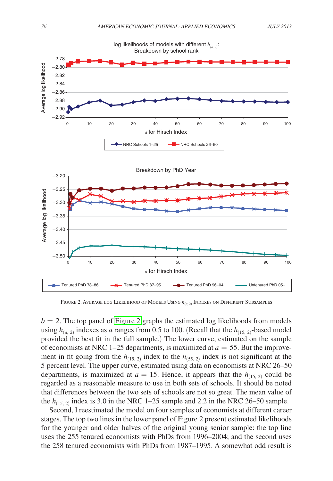

Figure 2. Average log Likelihood of Models Using *h*(*a*, <sup>2</sup>) Indexes on Different Subsamples

 $b = 2$ . The top panel of Figure 2 graphs the estimated log likelihoods from models using  $h_{(a, 2)}$  indexes as *a* ranges from 0.5 to 100. (Recall that the  $h_{(15, 2)}$ -based model provided the best fit in the full sample.) The lower curve, estimated on the sample of economists at NRC 1–25 departments, is maximized at  $a = 55$ . But the improvement in fit going from the  $h_{(15, 2)}$  index to the  $h_{(55, 2)}$  index is not significant at the 5 percent level. The upper curve, estimated using data on economists at NRC 26–50 departments, is maximized at  $a = 15$ . Hence, it appears that the  $h_{(15, 2)}$  could be regarded as a reasonable measure to use in both sets of schools. It should be noted that differences between the two sets of schools are not so great. The mean value of the  $h_{(15, 2)}$  index is 3.0 in the NRC 1–25 sample and 2.2 in the NRC 26–50 sample.

Second, I reestimated the model on four samples of economists at different career stages. The top two lines in the lower panel of Figure 2 present estimated likelihoods for the younger and older halves of the original young senior sample: the top line uses the 255 tenured economists with PhDs from 1996–2004; and the second uses the 258 tenured economists with PhDs from 1987–1995. A somewhat odd result is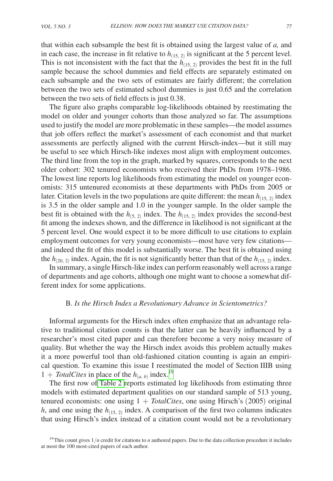that within each subsample the best fit is obtained using the largest value of *a,* and in each case, the increase in fit relative to  $h_{(15, 2)}$  is significant at the 5 percent level. This is not inconsistent with the fact that the  $h_{(15, 2)}$  provides the best fit in the full sample because the school dummies and field effects are separately estimated on each subsample and the two sets of estimates are fairly different; the correlation between the two sets of estimated school dummies is just 0.65 and the correlation between the two sets of field effects is just 0.38.

The figure also graphs comparable log-likelihoods obtained by reestimating the model on older and younger cohorts than those analyzed so far. The assumptions used to justify the model are more problematic in these samples—the model assumes that job offers reflect the market's assessment of each economist and that market assessments are perfectly aligned with the current Hirsch-index—but it still may be useful to see which Hirsch-like indexes most align with employment outcomes. The third line from the top in the graph, marked by squares, corresponds to the next older cohort: 302 tenured economists who received their PhDs from 1978–1986. The lowest line reports log likelihoods from estimating the model on younger economists: 315 untenured economists at these departments with PhDs from 2005 or later. Citation levels in the two populations are quite different: the mean  $h_{(15, 2)}$  index is 3.5 in the older sample and 1.0 in the younger sample. In the older sample the best fit is obtained with the  $h_{(5, 2)}$  index. The  $h_{(15, 2)}$  index provides the second-best fit among the indexes shown, and the difference in likelihood is not significant at the 5 percent level. One would expect it to be more difficult to use citations to explain employment outcomes for very young economists—most have very few citations and indeed the fit of this model is substantially worse. The best fit is obtained using the  $h_{(20, 2)}$  index. Again, the fit is not significantly better than that of the  $h_{(15, 2)}$  index.

In summary, a single Hirsch-like index can perform reasonably well across a range of departments and age cohorts, although one might want to choose a somewhat different index for some applications.

# B. *Is the Hirsch Index a Revolutionary Advance in Scientometrics?*

Informal arguments for the Hirsch index often emphasize that an advantage relative to traditional citation counts is that the latter can be heavily influenced by a researcher's most cited paper and can therefore become a very noisy measure of quality. But whether the way the Hirsch index avoids this problem actually makes it a more powerful tool than old-fashioned citation counting is again an empirical question. To examine this issue I reestimated the model of Section IIIB using 1 + *TotalCites* in place of the  $h_{(a, b)}$  index.<sup>[19](#page-14-0)</sup>

The first row o[f Table](#page-15-0) 2 reports estimated log likelihoods from estimating three models with estimated department qualities on our standard sample of 513 young, tenured economists: one using 1 + *TotalCites*, one using Hirsch's (2005) original *h*, and one using the  $h_{(15, 2)}$  index. A comparison of the first two columns indicates that using Hirsch's index instead of a citation count would not be a revolutionary

<span id="page-14-0"></span><sup>&</sup>lt;sup>19</sup>This count gives  $1/n$  credit for citations to *n* authored papers. Due to the data collection procedure it includes at most the 100 most-cited papers of each author.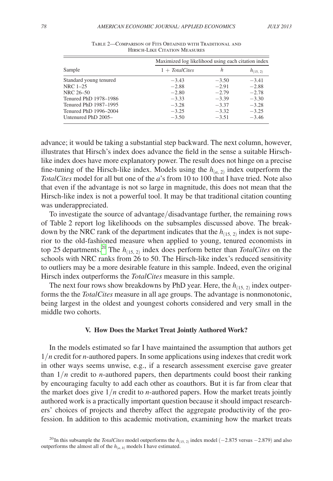<span id="page-15-0"></span>

|                        | Maximized log likelihood using each citation index |         |               |  |  |  |
|------------------------|----------------------------------------------------|---------|---------------|--|--|--|
| Sample                 | $1 + TotalCites$                                   | h       | $h_{(15, 2)}$ |  |  |  |
| Standard young tenured | $-3.43$                                            | $-3.50$ | $-3.41$       |  |  |  |
| NRC 1-25               | $-2.88$                                            | $-2.91$ | $-2.88$       |  |  |  |
| NRC 26-50              | $-2.80$                                            | $-2.79$ | $-2.78$       |  |  |  |
| Tenured PhD 1978-1986  | $-3.33$                                            | $-3.39$ | $-3.30$       |  |  |  |
| Tenured PhD 1987-1995  | $-3.28$                                            | $-3.37$ | $-3.28$       |  |  |  |
| Tenured PhD 1996-2004  | $-3.25$                                            | $-3.32$ | $-3.25$       |  |  |  |
| Untenured PhD 2005-    | $-3.50$                                            | $-3.51$ | $-3.46$       |  |  |  |

Table 2—Comparison of Fits Obtained with Traditional and Hirsch-Like Citation Measures

advance; it would be taking a substantial step backward. The next column, however, illustrates that Hirsch's index does advance the field in the sense a suitable Hirschlike index does have more explanatory power. The result does not hinge on a precise fine-tuning of the Hirsch-like index. Models using the  $h_{(a, 2)}$  index outperform the *TotalCites* model for all but one of the *a*'s from 10 to 100 that I have tried. Note also that even if the advantage is not so large in magnitude, this does not mean that the Hirsch-like index is not a powerful tool. It may be that traditional citation counting was underappreciated.

To investigate the source of advantage/disadvantage further, the remaining rows of Table 2 report log likelihoods on the subsamples discussed above. The breakdown by the NRC rank of the department indicates that the  $h_{(15, 2)}$  index is not superior to the old-fashioned measure when applied to young, tenured economists in top 25 departments.<sup>[20](#page-15-1)</sup> The  $h_{(15, 2)}$  index does perform better than *TotalCites* on the schools with NRC ranks from 26 to 50. The Hirsch-like index's reduced sensitivity to outliers may be a more desirable feature in this sample. Indeed, even the original Hirsch index outperforms the *TotalCites* measure in this sample.

The next four rows show breakdowns by PhD year. Here, the  $h_{(15, 2)}$  index outperforms the the *TotalCites* measure in all age groups. The advantage is nonmonotonic, being largest in the oldest and youngest cohorts considered and very small in the middle two cohorts.

#### **V. How Does the Market Treat Jointly Authored Work?**

In the models estimated so far I have maintained the assumption that authors get 1/*n* credit for *n*-authored papers. In some applications using indexes that credit work in other ways seems unwise, e.g., if a research assessment exercise gave greater than 1/*n* credit to *n*-authored papers, then departments could boost their ranking by encouraging faculty to add each other as coauthors. But it is far from clear that the market does give 1/*n* credit to *n*-authored papers. How the market treats jointly authored work is a practically important question because it should impact researchers' choices of projects and thereby affect the aggregate productivity of the profession. In addition to this academic motivation, examining how the market treats

<span id="page-15-1"></span><sup>&</sup>lt;sup>20</sup>In this subsample the *TotalCites* model outperforms the *h*<sub>(15, 2)</sub> index model (−2.875 versus −2.879) and also outperforms the almost all of the  $h_{(a, b)}$  models I have estimated.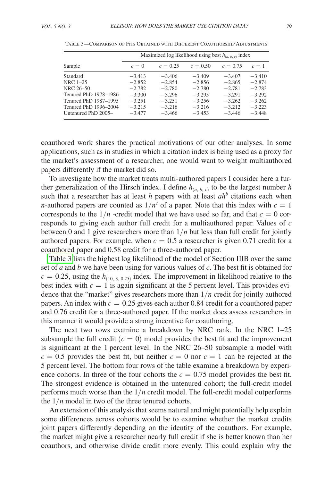|                       |          |            | Maximized log likelihood using best $h_{(a, b, c)}$ index |            |          |  |
|-----------------------|----------|------------|-----------------------------------------------------------|------------|----------|--|
| Sample                | $c=0$    | $c = 0.25$ | $c = 0.50$                                                | $c = 0.75$ | $c=1$    |  |
| Standard              | $-3.413$ | $-3.406$   | $-3.409$                                                  | $-3.407$   | $-3.410$ |  |
| NRC 1-25              | $-2.852$ | $-2.854$   | $-2.856$                                                  | $-2.865$   | $-2.874$ |  |
| NRC 26-50             | $-2.782$ | $-2.780$   | $-2.780$                                                  | $-2.781$   | $-2.783$ |  |
| Tenured PhD 1978-1986 | $-3.300$ | $-3.296$   | $-3.295$                                                  | $-3.291$   | $-3.292$ |  |
| Tenured PhD 1987-1995 | $-3.251$ | $-3.251$   | $-3.256$                                                  | $-3.262$   | $-3.262$ |  |
| Tenured PhD 1996-2004 | $-3.215$ | $-3.216$   | $-3.216$                                                  | $-3.212$   | $-3.223$ |  |
| Untenured PhD 2005-   | $-3.477$ | $-3.466$   | $-3.453$                                                  | $-3.446$   | $-3.448$ |  |

Table 3—Comparison of Fits Obtained with Different Coauthorship Adjustments

coauthored work shares the practical motivations of our other analyses. In some applications, such as in studies in which a citation index is being used as a proxy for the market's assessment of a researcher, one would want to weight multiauthored papers differently if the market did so.

To investigate how the market treats multi-authored papers I consider here a further generalization of the Hirsch index. I define  $h_{(a, b, c)}$  to be the largest number *h* such that a researcher has at least  $h$  papers with at least  $ah^b$  citations each when *n*-authored papers are counted as  $1/n<sup>c</sup>$  of a paper. Note that this index with  $c = 1$ corresponds to the  $1/n$  -credit model that we have used so far, and that  $c = 0$  corresponds to giving each author full credit for a multiauthored paper. Values of *c* between 0 and 1 give researchers more than  $1/n$  but less than full credit for jointly authored papers. For example, when  $c = 0.5$  a researcher is given 0.71 credit for a coauthored paper and 0.58 credit for a three-authored paper.

Table 3 lists the highest log likelihood of the model of Section IIIB over the same set of *a* and *b* we have been using for various values of *c*. The best fit is obtained for  $c = 0.25$ , using the  $h_{(10, 3, 0.25)}$  index. The improvement in likelihood relative to the best index with  $c = 1$  is again significant at the 5 percent level. This provides evidence that the "market" gives researchers more than 1/*n* credit for jointly authored papers. An index with  $c = 0.25$  gives each author 0.84 credit for a coauthored paper and 0.76 credit for a three-authored paper. If the market does assess researchers in this manner it would provide a strong incentive for coauthoring.

The next two rows examine a breakdown by NRC rank. In the NRC 1–25 subsample the full credit  $(c = 0)$  model provides the best fit and the improvement is significant at the 1 percent level. In the NRC 26–50 subsample a model with  $c = 0.5$  provides the best fit, but neither  $c = 0$  nor  $c = 1$  can be rejected at the 5 percent level. The bottom four rows of the table examine a breakdown by experience cohorts. In three of the four cohorts the  $c = 0.75$  model provides the best fit. The strongest evidence is obtained in the untenured cohort; the full-credit model performs much worse than the 1/*n* credit model. The full-credit model outperforms the  $1/n$  model in two of the three tenured cohorts.

An extension of this analysis that seems natural and might potentially help explain some differences across cohorts would be to examine whether the market credits joint papers differently depending on the identity of the coauthors. For example, the market might give a researcher nearly full credit if she is better known than her coauthors, and otherwise divide credit more evenly. This could explain why the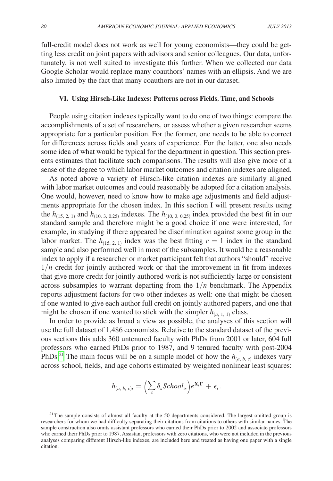full-credit model does not work as well for young economists—they could be getting less credit on joint papers with advisors and senior colleagues. Our data, unfortunately, is not well suited to investigate this further. When we collected our data Google Scholar would replace many coauthors' names with an ellipsis. And we are also limited by the fact that many coauthors are not in our dataset.

# **VI. Using Hirsch-Like Indexes: Patterns across Fields**, **Time**, **and Schools**

People using citation indexes typically want to do one of two things: compare the accomplishments of a set of researchers, or assess whether a given researcher seems appropriate for a particular position. For the former, one needs to be able to correct for differences across fields and years of experience. For the latter, one also needs some idea of what would be typical for the department in question. This section presents estimates that facilitate such comparisons. The results will also give more of a sense of the degree to which labor market outcomes and citation indexes are aligned.

As noted above a variety of Hirsch-like citation indexes are similarly aligned with labor market outcomes and could reasonably be adopted for a citation analysis. One would, however, need to know how to make age adjustments and field adjustments appropriate for the chosen index. In this section I will present results using the  $h_{(15, 2, 1)}$  and  $h_{(10, 3, 0.25)}$  indexes. The  $h_{(10, 3, 0.25)}$  index provided the best fit in our standard sample and therefore might be a good choice if one were interested, for example, in studying if there appeared be discrimination against some group in the labor market. The  $h_{(15, 2, 1)}$  index was the best fitting  $c = 1$  index in the standard sample and also performed well in most of the subsamples. It would be a reasonable index to apply if a researcher or market participant felt that authors "should" receive  $1/n$  credit for jointly authored work or that the improvement in fit from indexes that give more credit for jointly authored work is not sufficiently large or consistent across subsamples to warrant departing from the  $1/n$  benchmark. The Appendix reports adjustment factors for two other indexes as well: one that might be chosen if one wanted to give each author full credit on jointly authored papers, and one that might be chosen if one wanted to stick with the simpler  $h_{(a, 1, 1)}$  class.

In order to provide as broad a view as possible, the analyses of this section will use the full dataset of 1,486 economists. Relative to the standard dataset of the previous sections this adds 360 untenured faculty with PhDs from 2001 or later, 604 full professors who earned PhDs prior to 1987, and 9 tenured faculty with post-2004 PhDs.<sup>21</sup> The main focus will be on a simple model of how the  $h_{(a, b, c)}$  indexes vary across school, fields, and age cohorts estimated by weighted nonlinear least squares:

$$
h_{(a,\ b,\ c)i}=\Bigl(\sum_s \delta_s School_{is}\Bigr)e^{\mathbf{X}_i\boldsymbol{\Gamma}}+\epsilon_i.
$$

<span id="page-17-0"></span> $21$ The sample consists of almost all faculty at the 50 departments considered. The largest omitted group is researchers for whom we had difficulty separating their citations from citations to others with similar names. The sample construction also omits assistant professors who earned their PhDs prior to 2002 and associate professors who earned their PhDs prior to 1987. Assistant professors with zero citations, who were not included in the previous analyses comparing different Hirsch-like indexes, are included here and treated as having one paper with a single citation.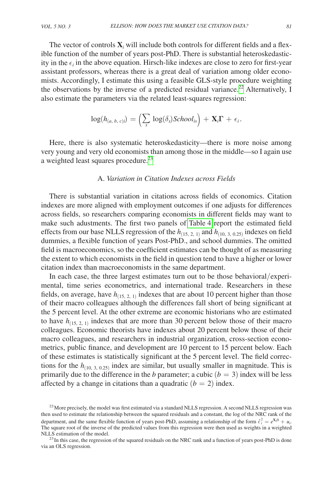The vector of controls  $\mathbf{X}_i$  will include both controls for different fields and a flexible function of the number of years post-PhD. There is substantial heteroskedasticity in the  $\epsilon_i$  in the above equation. Hirsch-like indexes are close to zero for first-year assistant professors, whereas there is a great deal of variation among older economists. Accordingly, I estimate this using a feasible GLS-style procedure weighting the observations by the inverse of a predicted residual variance.<sup>22</sup> Alternatively, I also estimate the parameters via the related least-squares regression:

$$
\log(h_{(a,\ b,\ c)i})=\left(\textstyle\sum\limits_s\,\log(\delta_s)School_{is}\right)+\mathbf{X}_i\Gamma\,+\,\epsilon_i.
$$

Here, there is also systematic heteroskedasticity—there is more noise among very young and very old economists than among those in the middle—so I again use a weighted least squares procedure.<sup>23</sup>

# A. *Variation in Citation Indexes across Fields*

There is substantial variation in citations across fields of economics. Citation indexes are more aligned with employment outcomes if one adjusts for differences across fields, so researchers comparing economists in different fields may want to make such adustments. The first two panels of [Table](#page-19-0) 4 report the estimated field effects from our base NLLS regression of the  $h_{(15, 2, 1)}$  and  $h_{(10, 3, 0.25)}$  indexes on field dummies, a flexible function of years Post-PhD., and school dummies. The omitted field is macroeconomics, so the coefficient estimates can be thought of as measuring the extent to which economists in the field in question tend to have a higher or lower citation index than macroeconomists in the same department.

In each case, the three largest estimates turn out to be those behavioral/experimental, time series econometrics, and international trade. Researchers in these fields, on average, have  $h_{(15, 2, 1)}$  indexes that are about 10 percent higher than those of their macro colleagues although the differences fall short of being significant at the 5 percent level. At the other extreme are economic historians who are estimated to have  $h_{(15, 2, 1)}$  indexes that are more than 30 percent below those of their macro colleagues. Economic theorists have indexes about 20 percent below those of their macro colleagues, and researchers in industrial organization, cross-section econometrics, public finance, and development are 10 percent to 15 percent below. Each of these estimates is statistically significant at the 5 percent level. The field corrections for the  $h_{(10, 3, 0.25)}$  index are similar, but usually smaller in magnitude. This is primarily due to the difference in the *b* parameter; a cubic  $(b = 3)$  index will be less affected by a change in citations than a quadratic  $(b = 2)$  index.

<span id="page-18-0"></span><sup>&</sup>lt;sup>22</sup> More precisely, the model was first estimated via a standard NLLS regression. A second NLLS regression was then used to estimate the relationship between the squared residuals and a constant, the log of the NRC rank of the department, and the same flexible function of years post-PhD, assuming a relationship of the form  $\hat{\epsilon}_i^2 = e^{X_i\beta} + u_i$ . The square root of the inverse of the predicted values from this regression were then used as weights in a weighted NLLS estimation of the model.<br><sup>23</sup>In this case, the regression of the squared residuals on the NRC rank and a function of years post-PhD is done

<span id="page-18-1"></span>via an OLS regression.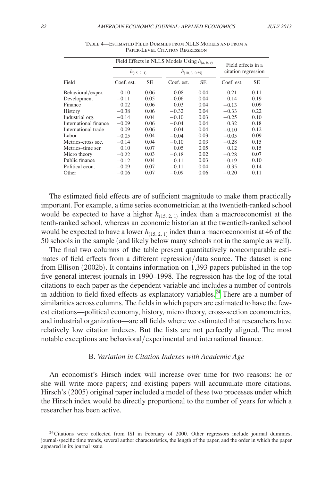<span id="page-19-0"></span>

|                       | Field Effects in NLLS Models Using $h_{(a, b, c)}$ |           | Field effects in a  |           |                     |           |
|-----------------------|----------------------------------------------------|-----------|---------------------|-----------|---------------------|-----------|
|                       | $h_{(15, 2, 1)}$                                   |           | $h_{(10, 3, 0.25)}$ |           | citation regression |           |
| Field                 | Coef. est.                                         | <b>SE</b> | Coef. est.          | <b>SE</b> | Coef. est.          | <b>SE</b> |
| Behavioral/exper.     | 0.10                                               | 0.06      | 0.08                | 0.04      | $-0.21$             | 0.11      |
| Development           | $-0.11$                                            | 0.05      | $-0.06$             | 0.04      | 0.14                | 0.19      |
| Finance               | 0.02                                               | 0.06      | 0.03                | 0.04      | $-0.13$             | 0.09      |
| History               | $-0.38$                                            | 0.06      | $-0.32$             | 0.04      | $-0.33$             | 0.22      |
| Industrial org.       | $-0.14$                                            | 0.04      | $-0.10$             | 0.03      | $-0.25$             | 0.10      |
| International finance | $-0.09$                                            | 0.06      | $-0.04$             | 0.04      | 0.32                | 0.18      |
| International trade   | 0.09                                               | 0.06      | 0.04                | 0.04      | $-0.10$             | 0.12      |
| Labor.                | $-0.05$                                            | 0.04      | $-0.04$             | 0.03      | $-0.05$             | 0.09      |
| Metrics-cross sec.    | $-0.14$                                            | 0.04      | $-0.10$             | 0.03      | $-0.28$             | 0.15      |
| Metrics-time ser.     | 0.10                                               | 0.07      | 0.05                | 0.05      | 0.12                | 0.15      |
| Micro theory          | $-0.22$                                            | 0.03      | $-0.18$             | 0.02      | $-0.28$             | 0.07      |
| Public finance        | $-0.12$                                            | 0.04      | $-0.11$             | 0.03      | $-0.19$             | 0.10      |
| Political econ.       | $-0.09$                                            | 0.07      | $-0.11$             | 0.04      | $-0.35$             | 0.14      |
| Other                 | $-0.06$                                            | 0.07      | $-0.09$             | 0.06      | $-0.20$             | 0.11      |

Table 4—Estimated Field Dummies from NLLS Models and from a Paper-Level Citation Regression

The estimated field effects are of sufficient magnitude to make them practically important. For example, a time series econometrician at the twentieth-ranked school would be expected to have a higher  $h_{(15, 2, 1)}$  index than a macroeconomist at the tenth-ranked school, whereas an economic historian at the twentieth-ranked school would be expected to have a lower  $h_{(15, 2, 1)}$  index than a macroeconomist at 46 of the 50 schools in the sample (and likely below many schools not in the sample as well).

The final two columns of the table present quantitatively noncomparable estimates of field effects from a different regression/data source. The dataset is one from Ellison (2002b). It contains information on 1,393 papers published in the top five general interest journals in 1990–1998. The regression has the log of the total citations to each paper as the dependent variable and includes a number of controls in addition to field fixed effects as explanatory variables.<sup>24</sup> There are a number of similarities across columns. The fields in which papers are estimated to have the fewest citations—political economy, history, micro theory, cross-section econometrics, and industrial organization—are all fields where we estimated that researchers have relatively low citation indexes. But the lists are not perfectly aligned. The most notable exceptions are behavioral/experimental and international finance.

# B. *Variation in Citation Indexes with Academic Age*

An economist's Hirsch index will increase over time for two reasons: he or she will write more papers; and existing papers will accumulate more citations. Hirsch's (2005) original paper included a model of these two processes under which the Hirsch index would be directly proportional to the number of years for which a researcher has been active.

<span id="page-19-1"></span> $24$ Citations were collected from ISI in February of 2000. Other regressors include journal dummies, journal-specific time trends, several author characteristics, the length of the paper, and the order in which the paper appeared in its journal issue.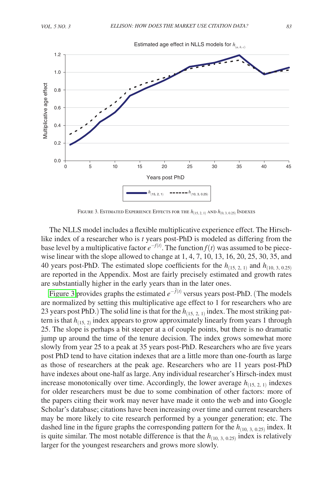

Figure 3. Estimated Experience Effects for the *h*(15, 2, <sup>1</sup>) and *h*(0, 3, <sup>0</sup>.25) Indexes

The NLLS model includes a flexible multiplicative experience effect. The Hirschlike index of a researcher who is *t* years post-PhD is modeled as differing from the base level by a multiplicative factor  $e^{-f(t)}$ . The function  $f(t)$  was assumed to be piecewise linear with the slope allowed to change at 1, 4, 7, 10, 13, 16, 20, 25, 30, 35, and 40 years post-PhD. The estimated slope coefficients for the  $h_{(15, 2, 1)}$  and  $h_{(10, 3, 0.25)}$ are reported in the Appendix. Most are fairly precisely estimated and growth rates are substantially higher in the early years than in the later ones.

Figure 3 provides graphs the estimated  $e^{-\hat{f}(t)}$  versus years post-PhD. (The models are normalized by setting this multiplicative age effect to 1 for researchers who are 23 years post PhD.) The solid line is that for the  $h_{(15, 2, 1)}$  index. The most striking pattern is that  $h_{(15, 2)}$  index appears to grow approximately linearly from years 1 through 25. The slope is perhaps a bit steeper at a of couple points, but there is no dramatic jump up around the time of the tenure decision. The index grows somewhat more slowly from year 25 to a peak at 35 years post-PhD. Researchers who are five years post PhD tend to have citation indexes that are a little more than one-fourth as large as those of researchers at the peak age. Researchers who are 11 years post-PhD have indexes about one-half as large. Any individual researcher's Hirsch-index must increase monotonically over time. Accordingly, the lower average  $h_{(15, 2, 1)}$  indexes for older researchers must be due to some combination of other factors: more of the papers citing their work may never have made it onto the web and into Google Scholar's database; citations have been increasing over time and current researchers may be more likely to cite research performed by a younger generation; etc. The dashed line in the figure graphs the corresponding pattern for the  $h_{(10, 3, 0.25)}$  index. It is quite similar. The most notable difference is that the  $h_{(10, 3, 0.25)}$  index is relatively larger for the youngest researchers and grows more slowly.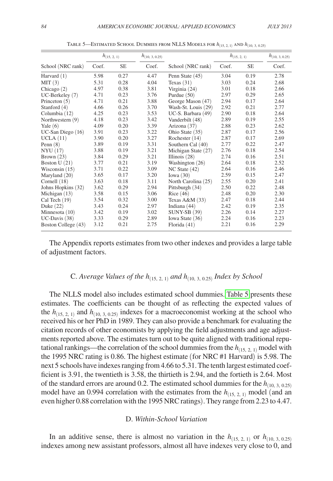|                     |       | $h_{(15, 2, 1)}$ | $h_{(10, 3, 0.25)}$ |                      |       | $h_{(15, 2, 1)}$ | $h_{(10, 3, 0.25)}$ |
|---------------------|-------|------------------|---------------------|----------------------|-------|------------------|---------------------|
| School (NRC rank)   | Coef. | <b>SE</b>        | Coef.               | School (NRC rank)    | Coef. | <b>SE</b>        | Coef.               |
| Harvard $(1)$       | 5.98  | 0.27             | 4.47                | Penn State (45)      | 3.04  | 0.19             | 2.78                |
| MIT(3)              | 5.31  | 0.28             | 4.04                | Texas $(31)$         | 3.03  | 0.24             | 2.68                |
| Chicago $(2)$       | 4.97  | 0.38             | 3.81                | Virginia $(24)$      | 3.01  | 0.18             | 2.66                |
| $UC-Berkeley(7)$    | 4.71  | 0.23             | 3.76                | Purdue $(50)$        | 2.97  | 0.29             | 2.65                |
| Princeton $(5)$     | 4.71  | 0.21             | 3.88                | George Mason (47)    | 2.94  | 0.17             | 2.64                |
| Stanford $(4)$      | 4.66  | 0.26             | 3.70                | Wash-St. Louis (29)  | 2.92  | 0.21             | 2.77                |
| Columbia (12)       | 4.25  | 0.23             | 3.53                | UC-S. Barbara $(49)$ | 2.90  | 0.18             | 2.64                |
| Northwestern (9)    | 4.18  | 0.23             | 3.42                | Vanderbilt (48)      | 2.89  | 0.19             | 2.55                |
| Yale $(6)$          | 4.09  | 0.20             | 3.39                | Arizona (37)         | 2.88  | 0.23             | 2.62                |
| UC-San Diego (16)   | 3.91  | 0.23             | 3.22                | Ohio State (35)      | 2.87  | 0.17             | 2.56                |
| UCLA(11)            | 3.90  | 0.20             | 3.27                | Rochester $(14)$     | 2.87  | 0.17             | 2.69                |
| Penn $(8)$          | 3.89  | 0.19             | 3.31                | Southern Cal (40)    | 2.77  | 0.22             | 2.47                |
| NYU(17)             | 3.88  | 0.19             | 3.21                | Michigan State (27)  | 2.76  | 0.18             | 2.54                |
| Brown $(23)$        | 3.84  | 0.29             | 3.21                | Illinois $(28)$      | 2.74  | 0.16             | 2.51                |
| Boston $U(21)$      | 3.77  | 0.21             | 3.19                | Washington $(26)$    | 2.64  | 0.18             | 2.52                |
| Wisconsin $(15)$    | 3.71  | 0.22             | 3.09                | $NC$ State $(42)$    | 2.64  | 0.16             | 2.46                |
| Maryland (20)       | 3.65  | 0.17             | 3.20                | Iowa $(30)$          | 2.59  | 0.15             | 2.47                |
| Cornell $(18)$      | 3.63  | 0.18             | 3.11                | North Carolina (25)  | 2.55  | 0.20             | 2.41                |
| Johns Hopkins (32)  | 3.62  | 0.29             | 2.94                | Pittsburgh (34)      | 2.50  | 0.22             | 2.48                |
| Michigan $(13)$     | 3.58  | 0.15             | 3.06                | Rice $(46)$          | 2.48  | 0.20             | 2.30                |
| Cal Tech $(19)$     | 3.54  | 0.32             | 3.00                | Texas A&M $(33)$     | 2.47  | 0.18             | 2.44                |
| Duke $(22)$         | 3.43  | 0.24             | 2.97                | Indiana (44)         | 2.42  | 0.19             | 2.35                |
| Minnesota $(10)$    | 3.42  | 0.19             | 3.02                | <b>SUNY-SB</b> (39)  | 2.26  | 0.14             | 2.27                |
| $UC-Davis(38)$      | 3.33  | 0.29             | 2.89                | Iowa State (36)      | 2.24  | 0.16             | 2.23                |
| Boston College (43) | 3.12  | 0.21             | 2.75                | Florida $(41)$       | 2.21  | 0.16             | 2.29                |

Table 5—Estimated School Dummies from NLLS Models for *h*(15, 2, <sup>1</sup>) and *h*(10, 3, 0.25)

The Appendix reports estimates from two other indexes and provides a large table of adjustment factors.

# C. *Average Values of the h*(15, 2, <sup>1</sup>) *and h*(10, 3, 0.25) *Index by School*

The NLLS model also includes estimated school dummies. Table 5 presents these estimates. The coefficients can be thought of as reflecting the expected values of the  $h_{(15, 2, 1)}$  and  $h_{(10, 3, 0.25)}$  indexes for a macroeconomist working at the school who received his or her PhD in 1989. They can also provide a benchmark for evaluating the citation records of other economists by applying the field adjustments and age adjustments reported above. The estimates turn out to be quite aligned with traditional reputational rankings—the correlation of the school dummies from the  $h_{(15, 2, 1)}$  model with the 1995 NRC rating is 0.86. The highest estimate (for NRC #1 Harvard) is 5.98. The next 5 schools have indexes ranging from 4.66 to 5.31. The tenth largest estimated coefficient is 3.91, the twentieth is 3.58, the thirtieth is 2.94, and the fortieth is 2.64. Most of the standard errors are around 0.2. The estimated school dummies for the  $h_{(10, 3, 0.25)}$ model have an 0.994 correlation with the estimates from the  $h_{(15, 2, 1)}$  model (and an even higher 0.88 correlation with the 1995 NRC ratings). They range from 2.23 to 4.47.

#### D. *Within-School Variation*

In an additive sense, there is almost no variation in the  $h_{(15, 2, 1)}$  or  $h_{(10, 3, 0.25)}$ indexes among new assistant professors, almost all have indexes very close to 0, and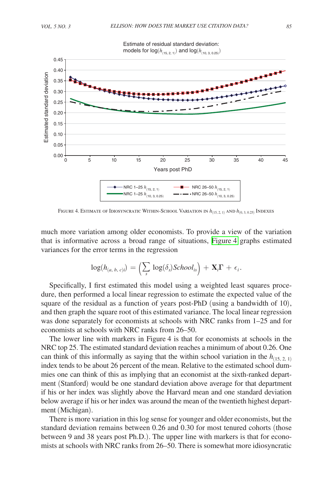

Figure 4. Estimate of Idiosyncratic Within-School Variation in *h*(15, 2, <sup>1</sup>) and *h*(0, 3, <sup>0</sup>.25) Indexes

much more variation among older economists. To provide a view of the variation that is informative across a broad range of situations, Figure 4 graphs estimated variances for the error terms in the regression

$$
\log(h_{(a,\ b,\ c)i})=\left(\textstyle\sum\limits_s\,\log(\delta_s)School_{is}\right)+\mathbf{X}_i\boldsymbol{\Gamma}\,+\,\epsilon_i.
$$

Specifically, I first estimated this model using a weighted least squares procedure, then performed a local linear regression to estimate the expected value of the square of the residual as a function of years post-PhD (using a bandwidth of 10), and then graph the square root of this estimated variance. The local linear regression was done separately for economists at schools with NRC ranks from 1–25 and for economists at schools with NRC ranks from 26–50.

The lower line with markers in Figure 4 is that for economists at schools in the NRC top 25. The estimated standard deviation reaches a minimum of about 0.26. One can think of this informally as saying that the within school variation in the  $h_{(15, 2, 1)}$ index tends to be about 26 percent of the mean. Relative to the estimated school dummies one can think of this as implying that an economist at the sixth-ranked department (Stanford) would be one standard deviation above average for that department if his or her index was slightly above the Harvard mean and one standard deviation below average if his or her index was around the mean of the twentieth highest department (Michigan).

There is more variation in this log sense for younger and older economists, but the standard deviation remains between 0.26 and 0.30 for most tenured cohorts (those between 9 and 38 years post Ph.D.). The upper line with markers is that for economists at schools with NRC ranks from 26–50. There is somewhat more idiosyncratic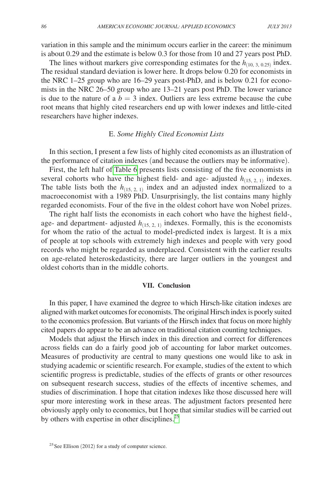variation in this sample and the minimum occurs earlier in the career: the minimum is about 0.29 and the estimate is below 0.3 for those from 10 and 27 years post PhD.

The lines without markers give corresponding estimates for the  $h_{(10, 3, 0.25)}$  index. The residual standard deviation is lower here. It drops below 0.20 for economists in the NRC 1–25 group who are 16–29 years post-PhD, and is below 0.21 for economists in the NRC 26–50 group who are 13–21 years post PhD. The lower variance is due to the nature of a  $b = 3$  index. Outliers are less extreme because the cube root means that highly cited researchers end up with lower indexes and little-cited researchers have higher indexes.

# E. *Some Highly Cited Economist Lists*

In this section, I present a few lists of highly cited economists as an illustration of the performance of citation indexes (and because the outliers may be informative).

First, the left half of [Table](#page-24-0) 6 presents lists consisting of the five economists in several cohorts who have the highest field- and age- adjusted  $h_{(15, 2, 1)}$  indexes. The table lists both the  $h_{(15, 2, 1)}$  index and an adjusted index normalized to a macroeconomist with a 1989 PhD. Unsurprisingly, the list contains many highly regarded economists. Four of the five in the oldest cohort have won Nobel prizes.

The right half lists the economists in each cohort who have the highest field-, age- and department- adjusted  $h_{(15, 2, 1)}$  indexes. Formally, this is the economists for whom the ratio of the actual to model-predicted index is largest. It is a mix of people at top schools with extremely high indexes and people with very good records who might be regarded as underplaced. Consistent with the earlier results on age-related heteroskedasticity, there are larger outliers in the youngest and oldest cohorts than in the middle cohorts.

## **VII. Conclusion**

In this paper, I have examined the degree to which Hirsch-like citation indexes are aligned with market outcomes for economists. The original Hirsch index is poorly suited to the economics profession. But variants of the Hirsch index that focus on more highly cited papers do appear to be an advance on traditional citation counting techniques.

Models that adjust the Hirsch index in this direction and correct for differences across fields can do a fairly good job of accounting for labor market outcomes. Measures of productivity are central to many questions one would like to ask in studying academic or scientific research. For example, studies of the extent to which scientific progress is predictable, studies of the effects of grants or other resources on subsequent research success, studies of the effects of incentive schemes, and studies of discrimination. I hope that citation indexes like those discussed here will spur more interesting work in these areas. The adjustment factors presented here obviously apply only to economics, but I hope that similar studies will be carried out by others with expertise in other disciplines. $^{25}$  $^{25}$  $^{25}$ 

<span id="page-23-0"></span> $25$  See Ellison (2012) for a study of computer science.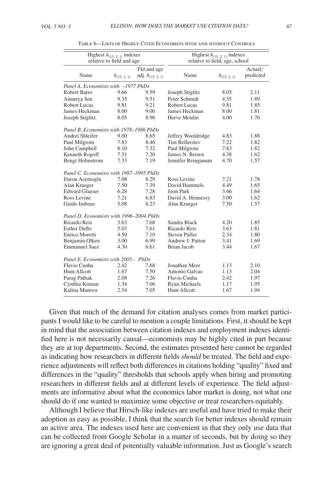<span id="page-24-0"></span>

| Highest $h_{(15, 2, 1)}$ indexes<br>relative to field and age |                  |                       | Highest $h_{(15, 2, 1)}$ indexes<br>relative to field, age, school |                  |           |  |
|---------------------------------------------------------------|------------------|-----------------------|--------------------------------------------------------------------|------------------|-----------|--|
|                                                               |                  | Fld and age           |                                                                    |                  | Actual/   |  |
| Name                                                          | $h_{(15, 2, 1)}$ | adj. $h_{(15, 2, 1)}$ | Name                                                               | $h_{(15, 2, 1)}$ | predicted |  |
| Panel A. Economists with -1977 PhDs                           |                  |                       |                                                                    |                  |           |  |
| Robert Barro                                                  | 9.66             | 9.59                  | Joseph Stiglitz                                                    | 8.05             | 2.11      |  |
| Amartya Sen                                                   | 9.35             | 9.51                  | Peter Schmidt                                                      | 4.55             | 1.89      |  |
| Robert Lucas                                                  | 9.81             | 9.21                  | Robert Lucas                                                       | 9.81             | 1.85      |  |
| James Heckman                                                 | 8.00             | 9.00                  | James Heckman                                                      | 8.00             | 1.81      |  |
| Joseph Stiglitz                                               | 8.05             | 8.96                  | Herve Moulin                                                       | 4.00             | 1.70      |  |
| Panel B. Economists with 1978–1986 PhDs                       |                  |                       |                                                                    |                  |           |  |
| Andrei Shleifer                                               | 9.00             | 8.65                  | Jeffrey Wooldridge                                                 | 4.83             | 1.88      |  |
| Paul Milgrom                                                  | 7.83             | 8.46                  | <b>Tim Bollerslev</b>                                              | 7.22             | 1.82      |  |
| John Campbell                                                 | 8.10             | 7.32                  | Paul Milgrom                                                       | 7.83             | 1.82      |  |
| Kenneth Rogoff                                                | 7.51             | 7.20                  | James N. Brown                                                     | 4.38             | 1.62      |  |
| <b>Bengt Holmstrom</b>                                        | 7.33             | 7.19                  | Jennifer Reinganum                                                 | 4.70             | 1.57      |  |
| Panel C. Economists with 1987–1995 PhDs                       |                  |                       |                                                                    |                  |           |  |
| Daron Acemoglu                                                | 7.08             | 8.29                  | Ross Levine                                                        | 7.21             | 1.78      |  |
| Alan Krueger                                                  | 7.50             | 7.39                  | David Hummels                                                      | 4.49             | 1.65      |  |
| <b>Edward Glaeser</b>                                         | 6.28             | 7.28                  | Joon Park                                                          | 3.66             | 1.64      |  |
| Ross Levine                                                   | 7.21             | 6.83                  | David A. Hennessy                                                  | 3.00             | 1.62      |  |
| Guido Imbens                                                  | 5.08             | 6.23                  | Alan Krueger                                                       | 7.50             | 1.57      |  |
| Panel D. Economists with 1996-2004 PhDs                       |                  |                       |                                                                    |                  |           |  |
| Ricardo Reis                                                  | 3.63             | 7.68                  | Sandra Black                                                       | 4.20             | 1.85      |  |
| Esther Duflo                                                  | 5.03             | 7.61                  | Ricardo Reis                                                       | 3.63             | 1.81      |  |
| Enrico Moretti                                                | 4.50             | 7.10                  | Steven Puller                                                      | 2.34             | 1.80      |  |
| Benjamin Olken                                                | 3.00             | 6.99                  | Andrew J. Patton                                                   | 3.41             | 1.69      |  |
| <b>Emmanuel Saez</b>                                          | 4.30             | 6.61                  | Brian Jacob                                                        | 3.44             | 1.67      |  |
| Panel E. Economists with 2005- PhDs                           |                  |                       |                                                                    |                  |           |  |
| Flavio Cunha                                                  | 2.42             | 7.68                  | Jonathan Meer                                                      | 1.13             | 2.10      |  |
| Hunt Allcott                                                  | 1.67             | 7.50                  | Antonio Galvao                                                     | 1.13             | 2.04      |  |
| Parag Pathak                                                  | 2.08             | 7.26                  | Flavio Cunha                                                       | 2.42             | 1.97      |  |
| Cynthia Kinnan                                                | 1.34             | 7.06                  | <b>Ryan Michaels</b>                                               | 1.17             | 1.95      |  |
| Kalina Manova                                                 | 2.54             | 7.05                  | <b>Hunt Allcott</b>                                                | 1.67             | 1.94      |  |

Table 6—Lists of Highly Cited Economists with and without Controls

Given that much of the demand for citation analyses comes from market participants I would like to be careful to mention a couple limitations. First, it should be kept in mind that the association between citation indexes and employment indexes identified here is not necessarily causal—economists may be highly cited in part because they are at top departments. Second, the estimates presented here cannot be regarded as indicating how researchers in different fields *should* be treated. The field and experience adjustments will reflect both differences in citations holding "quality" fixed and differences in the "quality" thresholds that schools apply when hiring and promoting researchers in different fields and at different levels of experience. The field adjustments are informative about what the economics labor market is doing, not what one should do if one wanted to maximize some objective or treat researchers equitably.

Although I believe that Hirsch-like indexes are useful and have tried to make their adoption as easy as possible, I think that the search for better indexes should remain an active area. The indexes used here are convenient in that they only use data that can be collected from Google Scholar in a matter of seconds, but by doing so they are ignoring a great deal of potentially valuable information. Just as Google's search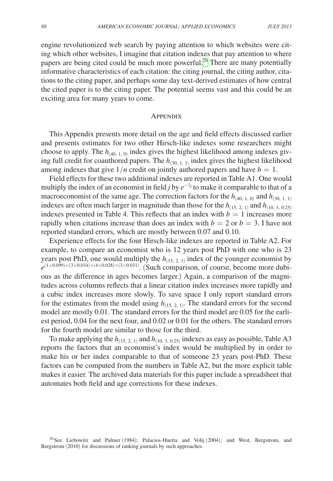engine revolutionized web search by paying attention to which websites were citing which other websites, I imagine that citation indexes that pay attention to where papers are being cited could be much more powerful.<sup>26</sup> There are many potentially informative characteristics of each citation: the citing journal, the citing author, citations to the citing paper, and perhaps some day text-derived estimates of how central the cited paper is to the citing paper. The potential seems vast and this could be an exciting area for many years to come.

#### Appendix

This Appendix presents more detail on the age and field effects discussed earlier and presents estimates for two other Hirsch-like indexes some researchers might choose to apply. The  $h_{(40, 1, 0)}$  index gives the highest likelihood among indexes giving full credit for coauthored papers. The  $h_{(30, 1, 1)}$  index gives the highest likelihood among indexes that give  $1/n$  credit on jointly authored papers and have  $b = 1$ .

Field effects for these two additional indexes are reported in Table A1. One would multiply the index of an economist in field *j* by  $e^{-\hat{\gamma}j}$  to make it comparable to that of a macroeconomist of the same age. The correction factors for the  $h_{(40, 1, 0)}$  and  $h_{(30, 1, 1)}$ indexes are often much larger in magnitude than those for the  $h_{(15, 2, 1)}$  and  $h_{(10, 3, 0.25)}$ indexes presented in Table 4. This reflects that an index with  $b = 1$  increases more rapidly when citations increase than does an index with  $b = 2$  or  $b = 3$ . I have not reported standard errors, which are mostly between 0.07 and 0.10.

Experience effects for the four Hirsch-like indexes are reported in Table A2. For example, to compare an economist who is 12 years post PhD with one who is 23 years post PhD, one would multiply the  $h_{(15, 2, 1)}$  index of the younger economist by  $e^{(1\times0.099)+(3\times0.034)+(4\times0.028)+(3\times0.031)}$ . (Such comparison, of course, become more dubious as the difference in ages becomes larger.) Again, a comparison of the magnitudes across columns reflects that a linear citation index increases more rapidly and a cubic index increases more slowly. To save space I only report standard errors for the estimates from the model using  $h_{(15, 2, 1)}$ . The standard errors for the second model are mostly 0.01. The standard errors for the third model are 0.05 for the earliest period, 0.04 for the next four, and 0.02 or 0.01 for the others. The standard errors for the fourth model are similar to those for the third.

To make applying the  $h_{(15, 2, 1)}$  and  $h_{(10, 3, 0.25)}$  indexes as easy as possible, Table A3 reports the factors that an economist's index would be multiplied by in order to make his or her index comparable to that of someone 23 years post-PhD. These factors can be computed from the numbers in Table A2, but the more explicit table makes it easier. The archived data materials for this paper include a spreadsheet that automates both field and age corrections for these indexes.

<span id="page-25-0"></span><sup>26</sup>See Liebowitz and Palmer (1984); Palacios-Huerta and Volij (2004); and West, Bergstrom, and Bergstrom (2010) for discussions of ranking journals by such approaches.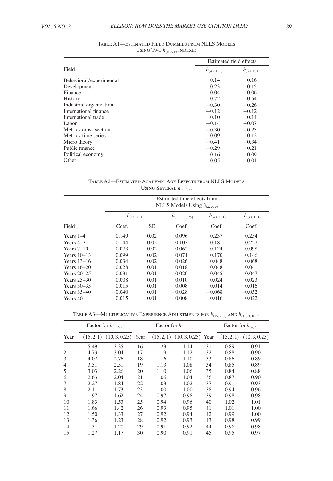|                         | Estimated field effects |                  |  |
|-------------------------|-------------------------|------------------|--|
| Field                   | $h_{(40, 1, 0)}$        | $h_{(30, 1, 1)}$ |  |
| Behavioral/experimental | 0.14                    | 0.16             |  |
| Development             | $-0.23$                 | $-0.15$          |  |
| Finance                 | 0.04                    | 0.06             |  |
| History                 | $-0.72$                 | $-0.54$          |  |
| Industrial organization | $-0.30$                 | $-0.26$          |  |
| International finance   | $-0.12$                 | $-0.12$          |  |
| International trade     | 0.10                    | 0.14             |  |
| Labor                   | $-0.14$                 | $-0.07$          |  |
| Metrics-cross section   | $-0.30$                 | $-0.25$          |  |
| Metrics-time series     | 0.09                    | 0.12             |  |
| Micro theory            | $-0.41$                 | $-0.34$          |  |
| Public finance          | $-0.29$                 | $-0.21$          |  |
| Political economy       | $-0.16$                 | $-0.09$          |  |
| Other                   | $-0.05$                 | $-0.01$          |  |

| TABLE A1—ESTIMATED FIELD DUMMIES FROM NLLS MODELS |
|---------------------------------------------------|
| USING TWO $h_{(a, b, c)}$ INDEXES                 |

Table A2—Estimated Academic Age Effects from NLLS Models Using Several  $h_{(a, b, c)}$ 

|               |                  | Estimated time effects from<br>NLLS Models Using $h_{(a, b, c)}$ |                     |                  |                  |  |  |  |  |
|---------------|------------------|------------------------------------------------------------------|---------------------|------------------|------------------|--|--|--|--|
|               | $h_{(15, 2, 1)}$ |                                                                  | $h_{(10, 3, 0.25)}$ | $h_{(40, 1, 1)}$ | $h_{(30, 1, 1)}$ |  |  |  |  |
| Field         | Coef.            | <b>SE</b>                                                        | Coef.               | Coef.            | Coef.            |  |  |  |  |
| Years 1–4     | 0.149            | 0.02                                                             | 0.096               | 0.237            | 0.254            |  |  |  |  |
| Years 4–7     | 0.144            | 0.02                                                             | 0.103               | 0.181            | 0.227            |  |  |  |  |
| Years $7-10$  | 0.073            | 0.02                                                             | 0.062               | 0.124            | 0.098            |  |  |  |  |
| Years 10–13   | 0.099            | 0.02                                                             | 0.071               | 0.170            | 0.146            |  |  |  |  |
| Years 13-16   | 0.034            | 0.02                                                             | 0.026               | 0.048            | 0.068            |  |  |  |  |
| Years $16-20$ | 0.028            | 0.01                                                             | 0.018               | 0.048            | 0.041            |  |  |  |  |
| Years $20-25$ | 0.031            | 0.01                                                             | 0.020               | 0.045            | 0.047            |  |  |  |  |
| Years 25-30   | 0.008            | 0.01                                                             | 0.010               | 0.024            | 0.023            |  |  |  |  |
| Years $30-35$ | 0.015            | 0.01                                                             | 0.008               | 0.014            | 0.016            |  |  |  |  |
| Years 35–40   | $-0.040$         | 0.01                                                             | $-0.028$            | $-0.068$         | $-0.052$         |  |  |  |  |
| Years $40+$   | 0.015            | 0.01                                                             | 0.008               | 0.016            | 0.022            |  |  |  |  |
|               |                  |                                                                  |                     |                  |                  |  |  |  |  |

Table A3—Multiplicative Experience Adjustments for *h*(15, 2, <sup>1</sup>) and *h*(10, 3, 0.25)

|                |            | Factor for $h_{(a, b, c)}$ |    | Factor for $h_{(a, b, c)}$ |                      |    | Factor for $h_{(a, b, c)}$ |               |
|----------------|------------|----------------------------|----|----------------------------|----------------------|----|----------------------------|---------------|
| Year           | (15, 2, 1) | $(10, 3, 0.25)$ Year       |    | (15, 2, 1)                 | $(10, 3, 0.25)$ Year |    | (15, 2, 1)                 | (10, 3, 0.25) |
| 1              | 5.49       | 3.35                       | 16 | 1.23                       | 1.14                 | 31 | 0.89                       | 0.91          |
| 2              | 4.73       | 3.04                       | 17 | 1.19                       | 1.12                 | 32 | 0.88                       | 0.90          |
| 3              | 4.07       | 2.76                       | 18 | 1.16                       | 1.10                 | 33 | 0.86                       | 0.89          |
| $\overline{4}$ | 3.51       | 2.51                       | 19 | 1.13                       | 1.08                 | 34 | 0.85                       | 0.89          |
| 5              | 3.03       | 2.26                       | 20 | 1.10                       | 1.06                 | 35 | 0.84                       | 0.88          |
| 6              | 2.63       | 2.04                       | 21 | 1.06                       | 1.04                 | 36 | 0.87                       | 0.90          |
|                | 2.27       | 1.84                       | 22 | 1.03                       | 1.02                 | 37 | 0.91                       | 0.93          |
| 8              | 2.11       | 1.73                       | 23 | 1.00                       | 1.00                 | 38 | 0.94                       | 0.96          |
| 9              | 1.97       | 1.62                       | 24 | 0.97                       | 0.98                 | 39 | 0.98                       | 0.98          |
| 10             | 1.83       | 1.53                       | 25 | 0.94                       | 0.96                 | 40 | 1.02                       | 1.01          |
| 11             | 1.66       | 1.42                       | 26 | 0.93                       | 0.95                 | 41 | 1.01                       | 1.00          |
| 12             | 1.50       | 1.33                       | 27 | 0.92                       | 0.94                 | 42 | 0.99                       | 1.00          |
| 13             | 1.36       | 1.23                       | 28 | 0.92                       | 0.93                 | 43 | 0.98                       | 0.99          |
| 14             | 1.31       | 1.20                       | 29 | 0.91                       | 0.92                 | 44 | 0.96                       | 0.98          |
| 15             | 1.27       | 1.17                       | 30 | 0.90                       | 0.91                 | 45 | 0.95                       | 0.97          |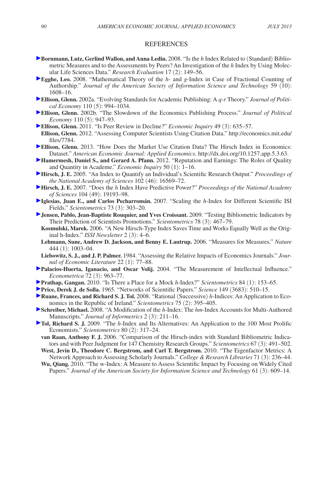#### **REFERENCES**

- **Bornmann, Lutz, Gerlind Wallon, and Anna Ledin.** 2008. "Is the *h* Index Related to (Standard) Bibliometric Measures and to the Assessments by Peers? An Investigation of the *h* Index by Using Molecular Life Sciences Data." *Research Evaluation* 17 (2): 149–56.
- **Egghe, Leo.** 2008. "Mathematical Theory of the *h* and *g*-Index in Case of Fractional Counting of Authorship." *Journal of the American Society of Information Science and Technology* 59 (10): 1608–16.
- **[E](http://pubs.aeaweb.org/action/showLinks?crossref=10.1086%2F341871)llison, Glenn.** 2002a. "Evolving Standards for Academic Publishing: A *q-r* Theory." *Journal of Political Economy* 110 (5): 994–1034.
- **[E](http://pubs.aeaweb.org/action/showLinks?crossref=10.1086%2F341868)llison, Glenn.** 2002b. "The Slowdown of the Economics Publishing Process." *Journal of Political Economy* 110 (5): 947–93.
- **[E](http://pubs.aeaweb.org/action/showLinks?crossref=10.1111%2Fj.1465-7295.2010.00261.x)llison, Glenn.** 2011. "Is Peer Review in Decline?" *Economic Inquiry* 49 (3): 635–57.
- **Ellison, Glenn.** 2012. "Assessing Computer Scientists Using Citation Data." [http://economics.mit.edu/](http://economics.mit.edu/files/7784) [files/7784.](http://economics.mit.edu/files/7784)
- **[E](http://pubs.aeaweb.org/action/showLinks?system-d=10.1257%2Fapp.5.3.63)llison, Glenn. 2013. "How Does the Market Use Citation Data? The Hirsch Index in Economics:** Dataset." *American Economic Journal: Applied Economics*.<http://dx.doi.org/10.1257.app.5.3.63>.
- **[H](http://pubs.aeaweb.org/action/showLinks?crossref=10.1111%2Fj.1465-7295.2011.00381.x)amermesh, Daniel S., and Gerard A. Pfann.** 2012. "Reputation and Earnings: The Roles of Quality and Quantity in Academe." *Economic Inquiry* 50 (1): 1–16.
- **[H](http://pubs.aeaweb.org/action/showLinks?crossref=10.1073%2Fpnas.0507655102)irsch, J. E.** 2005. "An Index to Quantify an Individual's Scientific Research Output." *Proceedings of the National Academy of Sciences* 102 (46): 16569–72.
- **[H](http://pubs.aeaweb.org/action/showLinks?crossref=10.1073%2Fpnas.0707962104)irsch, J. E.** 2007. "Does the *h* Index Have Predictive Power?" *Proceedings of the National Academy of Sciences* 104 (49): 19193–98.
- **[I](http://pubs.aeaweb.org/action/showLinks?crossref=10.1007%2Fs11192-007-1805-x)glesias, Juan E., and Carlos Pecharromán.** 2007. "Scaling the *h*-Index for Different Scientific ISI Fields." *Scientometrics* 73 (3): 303–20.
- **IP** [J](http://pubs.aeaweb.org/action/showLinks?crossref=10.1007%2Fs11192-007-2014-3)ensen, Pablo, Jean-Baptiste Rouquier, and Yves Croissant. 2009. "Testing Bibliometric Indicators by Their Prediction of Scientists Promotions." *Scientometrics* 78 (3): 467–79.
	- **Kosmulski, Marek.** 2006. "A New Hirsch-Type Index Saves Time and Works Equally Well as the Original h-Index." *ISSI Newsletter* 2 (3): 4–6.
	- **Lehmann, Sune, Andrew D. Jackson, and Benny E. Lautrup.** 2006. "Measures for Measures." *Nature*  444 (1): 1003–04.
- **Liebowitz, S. J., and J. P. Palmer.** 1984. "Assessing the Relative Impacts of Economics Journals." *Journal of Economic Literature* 22 (1): 77–88.
- **Palacios-Huerta, Iganacio, and Oscar Volij.** 2004. "The Measurement of Intellectual Influence." *Econometrica* 72 (3): 963–77.
- **Prathap, Gangan.** 2010. "Is There a Place for a Mock *h*-Index?" *Scientometrics* 84 (1): 153–65.
- **Price, Derek J. de Solla.** 1965. "Networks of Scientific Papers." *Science* 149 (3683): 510–15.
- **Ruane, Frances, and Richard S. J. Tol.** 2008. "Rational (Successive) *h*-Indices: An Application to Economics in the Republic of Ireland." *Scientometrics* 75 (2): 395–405.
- **Schreiber, Michael.** 2008. "A Modification of the *h*-Index: The *hm*-Index Accounts for Multi-Authored Manuscripts." *Journal of Informetrics* 2 (3): 211–16.
- **Tol, Richard S. J.** 2009. "The *h*-Index and Its Alternatives: An Application to the 100 Most Prolific Economists." *Scientometrics* 80 (2): 317–24.
	- **van Raan, Anthony F. J.** 2006. "Comparison of the Hirsch-index with Standard Bibliometric Indicators and with Peer Judgment for 147 Chemistry Research Groups." *Scientometrics* 67 (3): 491–502.
	- **West, Jevin D., Theodore C. Bergstrom, and Carl T. Bergstrom.** 2010. "The Eigenfactor Metrics: A Network Approach to Assessing Scholarly Journals." *College & Research Libraries* 71 (3): 236–44.
	- **Wu, Qiang.** 2010. "The w-Index: A Measure to Assess Scientific Impact by Focusing on Widely Cited Papers." *Journal of the American Society for Information Science and Technology* 61 (3): 609–14.